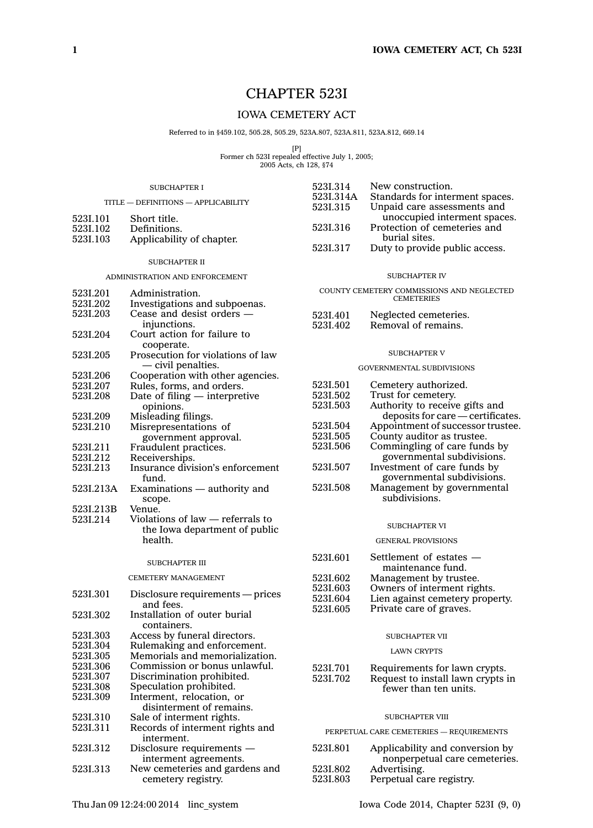# CHAPTER 523I

# IOWA CEMETERY ACT

Referred to in §459.102, 505.28, 505.29, 523A.807, 523A.811, 523A.812, 669.14

[P] Former ch 523I repealed effective July 1, 2005; 2005 Acts, ch 128, §74

523I.314 New construction.

#### SUBCHAPTER I

| TITLE - DEFINITIONS - APPLICABILITY |                                   | 523I.314A<br>5231.315 | Standards for interment spaces.<br>Unpaid care assessments and |
|-------------------------------------|-----------------------------------|-----------------------|----------------------------------------------------------------|
| 523I.101                            | Short title.                      |                       | unoccupied interment spaces.                                   |
| 523I.102                            | Definitions.                      | 5231.316              | Protection of cemeteries and                                   |
| 523I.103                            | Applicability of chapter.         |                       | burial sites.                                                  |
|                                     |                                   | 5231.317              | Duty to provide public access.                                 |
|                                     | <b>SUBCHAPTER II</b>              |                       |                                                                |
| ADMINISTRATION AND ENFORCEMENT      |                                   |                       | <b>SUBCHAPTER IV</b>                                           |
| 5231.201                            | Administration.                   |                       | COUNTY CEMETERY COMMISSIONS AND NEGLECTED                      |
| 5231.202                            | Investigations and subpoenas.     |                       | <b>CEMETERIES</b>                                              |
| 523I.203                            | Cease and desist orders -         | 523I.401              | Neglected cemeteries.                                          |
|                                     | injunctions.                      | 5231.402              | Removal of remains.                                            |
| 5231.204                            | Court action for failure to       |                       |                                                                |
|                                     | cooperate.                        |                       |                                                                |
| 5231.205                            | Prosecution for violations of law |                       | <b>SUBCHAPTER V</b>                                            |
|                                     | - civil penalties.                |                       | <b>GOVERNMENTAL SUBDIVISIONS</b>                               |
| 5231.206                            | Cooperation with other agencies.  |                       |                                                                |
| 5231.207                            | Rules, forms, and orders.         | 5231.501              | Cemetery authorized.                                           |
| 5231.208                            | Date of filing $-$ interpretive   | 5231.502              | Trust for cemetery.                                            |
|                                     | opinions.                         | 5231.503              | Authority to receive gifts and                                 |
| 5231.209                            | Misleading filings.               |                       | deposits for care - certificates                               |
| 5231.210                            | Misrepresentations of             | 5231.504              | Appointment of successor trustee                               |
|                                     | government approval.              | 5231.505              | County auditor as trustee.                                     |
| 5231.211                            | Fraudulent practices.             | 5231.506              | Commingling of care funds by                                   |
| 5231.212                            | Receiverships.                    |                       | governmental subdivisions.                                     |
| 5231.213                            | Insurance division's enforcement  | 5231.507              | Investment of care funds by                                    |
|                                     | fund.                             |                       | governmental subdivisions.                                     |
| 523I.213A                           | Examinations - authority and      | 5231.508              | Management by governmental                                     |
|                                     | scope.                            |                       | subdivisions.                                                  |
| 523L213B                            | Venue.                            |                       |                                                                |
| 5231.214                            | Violations of law - referrals to  |                       | <b>SUBCHAPTER VI</b>                                           |
|                                     | the Iowa department of public     |                       |                                                                |
|                                     | health.                           |                       | <b>GENERAL PROVISIONS</b>                                      |
|                                     | <b>SUBCHAPTER III</b>             | 5231.601              | Settlement of estates —                                        |
|                                     |                                   |                       | maintenance fund.                                              |
|                                     | <b>CEMETERY MANAGEMENT</b>        | 5231.602              | Management by trustee.                                         |
| 5231.301                            | Disclosure requirements — prices  | 523I.603              | Owners of interment rights.                                    |
|                                     | and fees.                         | 5231.604              | Lien against cemetery property.                                |
| 5231.302                            | Installation of outer burial      | 5231.605              | Private care of graves.                                        |
|                                     | containers.                       |                       |                                                                |
| 523I.303                            | Access by funeral directors.      |                       | <b>SUBCHAPTER VII</b>                                          |
| 5231.304                            | Rulemaking and enforcement.       |                       |                                                                |
| 5231.305                            | Memorials and memorialization.    |                       | <b>LAWN CRYPTS</b>                                             |
| 5231.306                            | Commission or bonus unlawful.     | 5231.701              | Requirements for lawn crypts.                                  |
| 5231.307                            | Discrimination prohibited.        | 5231.702              | Request to install lawn crypts in                              |
| 5231.308                            | Speculation prohibited.           |                       | fewer than ten units.                                          |
| 5231.309                            | Interment, relocation, or         |                       |                                                                |
|                                     | disinterment of remains.          |                       |                                                                |

# SUBCHAPTER VIII

PERPETUAL CARE CEMETERIES — REQUIREMENTS

| 523I.801 | Applicability and conversion by |
|----------|---------------------------------|
|          | nonperpetual care cemeteries.   |
| 5231.802 | Advertising.                    |
| 5231.803 | Perpetual care registry.        |

523I.310 Sale of interment rights.<br>523I.311 Records of interment rig

interment. 523I.312 Disclosure requirements —

Records of interment rights and

interment agreements. 523I.313 New cemeteries and gardens and cemetery registry.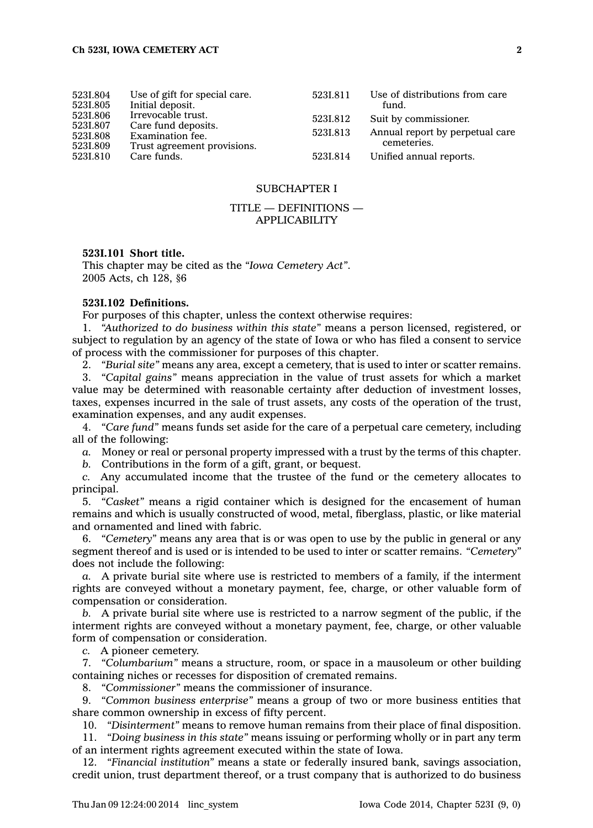| 523I.804<br>5231.805<br>5231.806<br>5231.807<br>5231.808<br>5231.809 | Use of gift for special care.<br>Initial deposit.<br>Irrevocable trust.<br>Care fund deposits.<br>Examination fee.<br>Trust agreement provisions. | 5231.811<br>5231.812<br>5231.813 | Use of distributions from care<br>fund.<br>Suit by commissioner.<br>Annual report by perpetual care<br>cemeteries. |
|----------------------------------------------------------------------|---------------------------------------------------------------------------------------------------------------------------------------------------|----------------------------------|--------------------------------------------------------------------------------------------------------------------|
| 5231.810                                                             | Care funds.                                                                                                                                       | 5231.814                         | Unified annual reports.                                                                                            |

# SUBCHAPTER I

# TITLE — DEFINITIONS — APPLICABILITY

# **523I.101 Short title.**

This chapter may be cited as the *"Iowa Cemetery Act"*. 2005 Acts, ch 128, §6

#### **523I.102 Definitions.**

For purposes of this chapter, unless the context otherwise requires:

1. *"Authorized to do business within this state"* means <sup>a</sup> person licensed, registered, or subject to regulation by an agency of the state of Iowa or who has filed <sup>a</sup> consent to service of process with the commissioner for purposes of this chapter.

2. *"Burial site"* means any area, except <sup>a</sup> cemetery, that is used to inter or scatter remains.

3. *"Capital gains"* means appreciation in the value of trust assets for which <sup>a</sup> market value may be determined with reasonable certainty after deduction of investment losses, taxes, expenses incurred in the sale of trust assets, any costs of the operation of the trust, examination expenses, and any audit expenses.

4. *"Care fund"* means funds set aside for the care of <sup>a</sup> perpetual care cemetery, including all of the following:

*a.* Money or real or personal property impressed with <sup>a</sup> trust by the terms of this chapter.

*b.* Contributions in the form of <sup>a</sup> gift, grant, or bequest.

*c.* Any accumulated income that the trustee of the fund or the cemetery allocates to principal.

5. *"Casket"* means <sup>a</sup> rigid container which is designed for the encasement of human remains and which is usually constructed of wood, metal, fiberglass, plastic, or like material and ornamented and lined with fabric.

6. *"Cemetery"* means any area that is or was open to use by the public in general or any segment thereof and is used or is intended to be used to inter or scatter remains. *"Cemetery"* does not include the following:

*a.* A private burial site where use is restricted to members of <sup>a</sup> family, if the interment rights are conveyed without <sup>a</sup> monetary payment, fee, charge, or other valuable form of compensation or consideration.

*b.* A private burial site where use is restricted to <sup>a</sup> narrow segment of the public, if the interment rights are conveyed without <sup>a</sup> monetary payment, fee, charge, or other valuable form of compensation or consideration.

*c.* A pioneer cemetery.

7. *"Columbarium"* means <sup>a</sup> structure, room, or space in <sup>a</sup> mausoleum or other building containing niches or recesses for disposition of cremated remains.

8. *"Commissioner"* means the commissioner of insurance.

9. *"Common business enterprise"* means <sup>a</sup> group of two or more business entities that share common ownership in excess of fifty percent.

10. *"Disinterment"* means to remove human remains from their place of final disposition.

11. *"Doing business in this state"* means issuing or performing wholly or in part any term of an interment rights agreement executed within the state of Iowa.

12. *"Financial institution"* means <sup>a</sup> state or federally insured bank, savings association, credit union, trust department thereof, or <sup>a</sup> trust company that is authorized to do business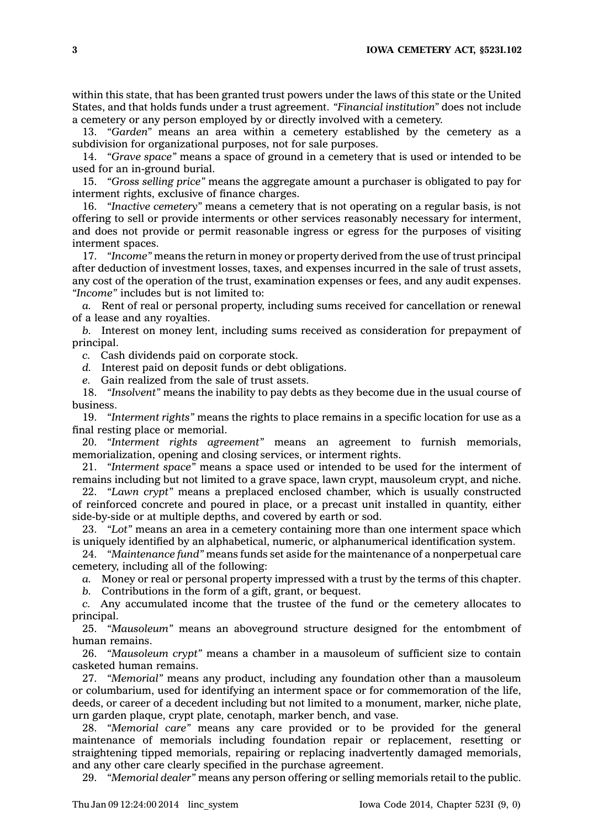**3 IOWA CEMETERY ACT, §523I.102**

within this state, that has been granted trust powers under the laws of this state or the United States, and that holds funds under <sup>a</sup> trust agreement. *"Financial institution"* does not include <sup>a</sup> cemetery or any person employed by or directly involved with <sup>a</sup> cemetery.

13. *"Garden"* means an area within <sup>a</sup> cemetery established by the cemetery as <sup>a</sup> subdivision for organizational purposes, not for sale purposes.

14. *"Grave space"* means <sup>a</sup> space of ground in <sup>a</sup> cemetery that is used or intended to be used for an in-ground burial.

15. *"Gross selling price"* means the aggregate amount <sup>a</sup> purchaser is obligated to pay for interment rights, exclusive of finance charges.

16. *"Inactive cemetery"* means <sup>a</sup> cemetery that is not operating on <sup>a</sup> regular basis, is not offering to sell or provide interments or other services reasonably necessary for interment, and does not provide or permit reasonable ingress or egress for the purposes of visiting interment spaces.

17. *"Income"* means the return in money or property derived from the use of trust principal after deduction of investment losses, taxes, and expenses incurred in the sale of trust assets, any cost of the operation of the trust, examination expenses or fees, and any audit expenses. *"Income"* includes but is not limited to:

*a.* Rent of real or personal property, including sums received for cancellation or renewal of <sup>a</sup> lease and any royalties.

*b.* Interest on money lent, including sums received as consideration for prepayment of principal.

*c.* Cash dividends paid on corporate stock.

*d.* Interest paid on deposit funds or debt obligations.

*e.* Gain realized from the sale of trust assets.

18. *"Insolvent"* means the inability to pay debts as they become due in the usual course of business.

19. *"Interment rights"* means the rights to place remains in <sup>a</sup> specific location for use as <sup>a</sup> final resting place or memorial.

20. *"Interment rights agreement"* means an agreement to furnish memorials, memorialization, opening and closing services, or interment rights.

21. *"Interment space"* means <sup>a</sup> space used or intended to be used for the interment of remains including but not limited to <sup>a</sup> grave space, lawn crypt, mausoleum crypt, and niche.

22. *"Lawn crypt"* means <sup>a</sup> preplaced enclosed chamber, which is usually constructed of reinforced concrete and poured in place, or <sup>a</sup> precast unit installed in quantity, either side-by-side or at multiple depths, and covered by earth or sod.

23. *"Lot"* means an area in <sup>a</sup> cemetery containing more than one interment space which is uniquely identified by an alphabetical, numeric, or alphanumerical identification system.

24. *"Maintenance fund"* means funds set aside for the maintenance of <sup>a</sup> nonperpetual care cemetery, including all of the following:

*a.* Money or real or personal property impressed with <sup>a</sup> trust by the terms of this chapter.

*b.* Contributions in the form of <sup>a</sup> gift, grant, or bequest.

*c.* Any accumulated income that the trustee of the fund or the cemetery allocates to principal.

25. *"Mausoleum"* means an aboveground structure designed for the entombment of human remains.

26. *"Mausoleum crypt"* means <sup>a</sup> chamber in <sup>a</sup> mausoleum of sufficient size to contain casketed human remains.

27. *"Memorial"* means any product, including any foundation other than <sup>a</sup> mausoleum or columbarium, used for identifying an interment space or for commemoration of the life, deeds, or career of <sup>a</sup> decedent including but not limited to <sup>a</sup> monument, marker, niche plate, urn garden plaque, crypt plate, cenotaph, marker bench, and vase.

28. *"Memorial care"* means any care provided or to be provided for the general maintenance of memorials including foundation repair or replacement, resetting or straightening tipped memorials, repairing or replacing inadvertently damaged memorials, and any other care clearly specified in the purchase agreement.

29. *"Memorial dealer"* means any person offering or selling memorials retail to the public.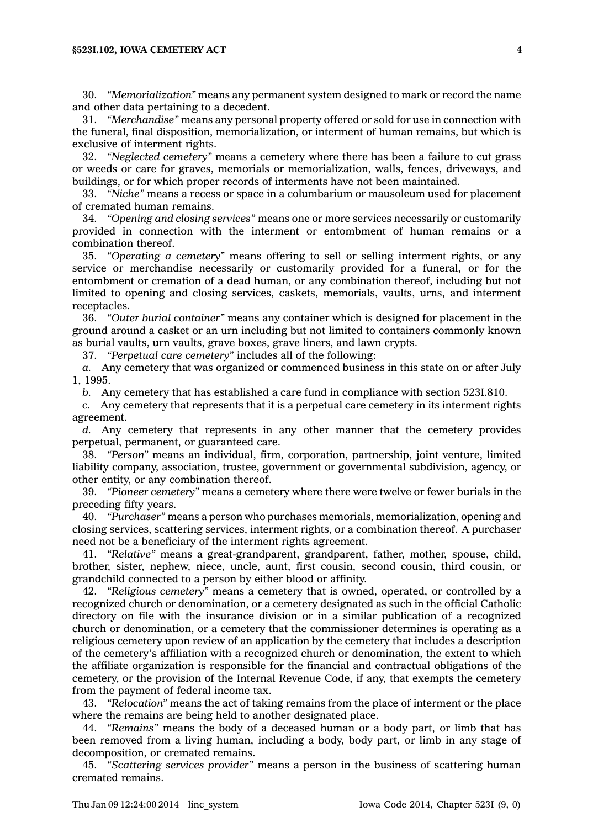30. *"Memorialization"* means any permanent system designed to mark or record the name and other data pertaining to <sup>a</sup> decedent.

31. *"Merchandise"* means any personal property offered or sold for use in connection with the funeral, final disposition, memorialization, or interment of human remains, but which is exclusive of interment rights.

32. *"Neglected cemetery"* means <sup>a</sup> cemetery where there has been <sup>a</sup> failure to cut grass or weeds or care for graves, memorials or memorialization, walls, fences, driveways, and buildings, or for which proper records of interments have not been maintained.

33. *"Niche"* means <sup>a</sup> recess or space in <sup>a</sup> columbarium or mausoleum used for placement of cremated human remains.

34. *"Opening and closing services"* means one or more services necessarily or customarily provided in connection with the interment or entombment of human remains or <sup>a</sup> combination thereof.

35. *"Operating <sup>a</sup> cemetery"* means offering to sell or selling interment rights, or any service or merchandise necessarily or customarily provided for <sup>a</sup> funeral, or for the entombment or cremation of <sup>a</sup> dead human, or any combination thereof, including but not limited to opening and closing services, caskets, memorials, vaults, urns, and interment receptacles.

36. *"Outer burial container"* means any container which is designed for placement in the ground around <sup>a</sup> casket or an urn including but not limited to containers commonly known as burial vaults, urn vaults, grave boxes, grave liners, and lawn crypts.

37. *"Perpetual care cemetery"* includes all of the following:

*a.* Any cemetery that was organized or commenced business in this state on or after July 1, 1995.

*b.* Any cemetery that has established <sup>a</sup> care fund in compliance with section 523I.810.

*c.* Any cemetery that represents that it is <sup>a</sup> perpetual care cemetery in its interment rights agreement.

*d.* Any cemetery that represents in any other manner that the cemetery provides perpetual, permanent, or guaranteed care.

38. *"Person"* means an individual, firm, corporation, partnership, joint venture, limited liability company, association, trustee, government or governmental subdivision, agency, or other entity, or any combination thereof.

39. *"Pioneer cemetery"* means <sup>a</sup> cemetery where there were twelve or fewer burials in the preceding fifty years.

40. *"Purchaser"* means <sup>a</sup> person who purchases memorials, memorialization, opening and closing services, scattering services, interment rights, or <sup>a</sup> combination thereof. A purchaser need not be <sup>a</sup> beneficiary of the interment rights agreement.

41. *"Relative"* means <sup>a</sup> great-grandparent, grandparent, father, mother, spouse, child, brother, sister, nephew, niece, uncle, aunt, first cousin, second cousin, third cousin, or grandchild connected to <sup>a</sup> person by either blood or affinity.

42. *"Religious cemetery"* means <sup>a</sup> cemetery that is owned, operated, or controlled by <sup>a</sup> recognized church or denomination, or <sup>a</sup> cemetery designated as such in the official Catholic directory on file with the insurance division or in <sup>a</sup> similar publication of <sup>a</sup> recognized church or denomination, or <sup>a</sup> cemetery that the commissioner determines is operating as <sup>a</sup> religious cemetery upon review of an application by the cemetery that includes <sup>a</sup> description of the cemetery's affiliation with <sup>a</sup> recognized church or denomination, the extent to which the affiliate organization is responsible for the financial and contractual obligations of the cemetery, or the provision of the Internal Revenue Code, if any, that exempts the cemetery from the payment of federal income tax.

43. *"Relocation"* means the act of taking remains from the place of interment or the place where the remains are being held to another designated place.

44. *"Remains"* means the body of <sup>a</sup> deceased human or <sup>a</sup> body part, or limb that has been removed from <sup>a</sup> living human, including <sup>a</sup> body, body part, or limb in any stage of decomposition, or cremated remains.

45. *"Scattering services provider"* means <sup>a</sup> person in the business of scattering human cremated remains.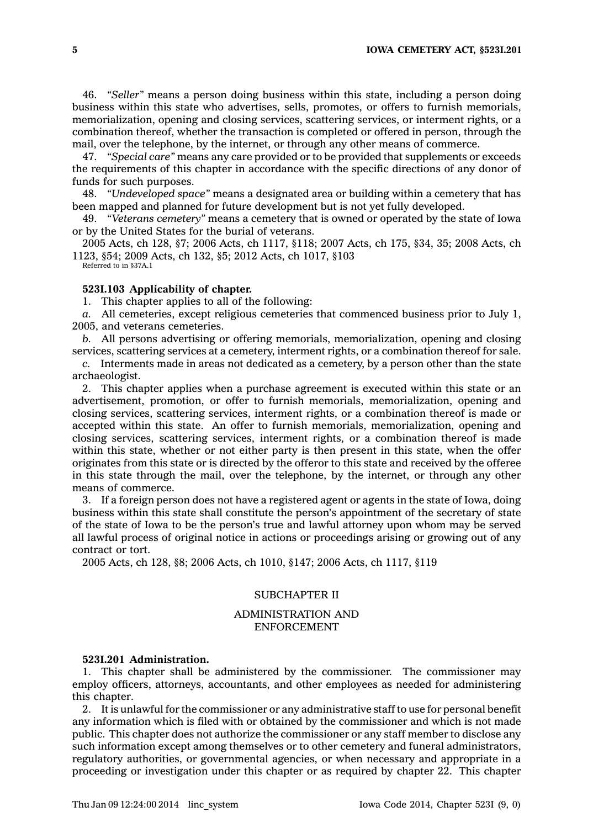46. *"Seller"* means <sup>a</sup> person doing business within this state, including <sup>a</sup> person doing business within this state who advertises, sells, promotes, or offers to furnish memorials, memorialization, opening and closing services, scattering services, or interment rights, or <sup>a</sup> combination thereof, whether the transaction is completed or offered in person, through the mail, over the telephone, by the internet, or through any other means of commerce.

47. *"Special care"* means any care provided or to be provided that supplements or exceeds the requirements of this chapter in accordance with the specific directions of any donor of funds for such purposes.

48. *"Undeveloped space"* means <sup>a</sup> designated area or building within <sup>a</sup> cemetery that has been mapped and planned for future development but is not yet fully developed.

49. *"Veterans cemetery"* means <sup>a</sup> cemetery that is owned or operated by the state of Iowa or by the United States for the burial of veterans.

2005 Acts, ch 128, §7; 2006 Acts, ch 1117, §118; 2007 Acts, ch 175, §34, 35; 2008 Acts, ch 1123, §54; 2009 Acts, ch 132, §5; 2012 Acts, ch 1017, §103

Referred to in §37A.1

# **523I.103 Applicability of chapter.**

1. This chapter applies to all of the following:

*a.* All cemeteries, except religious cemeteries that commenced business prior to July 1, 2005, and veterans cemeteries.

*b.* All persons advertising or offering memorials, memorialization, opening and closing services, scattering services at <sup>a</sup> cemetery, interment rights, or <sup>a</sup> combination thereof for sale.

*c.* Interments made in areas not dedicated as <sup>a</sup> cemetery, by <sup>a</sup> person other than the state archaeologist.

2. This chapter applies when <sup>a</sup> purchase agreement is executed within this state or an advertisement, promotion, or offer to furnish memorials, memorialization, opening and closing services, scattering services, interment rights, or <sup>a</sup> combination thereof is made or accepted within this state. An offer to furnish memorials, memorialization, opening and closing services, scattering services, interment rights, or <sup>a</sup> combination thereof is made within this state, whether or not either party is then present in this state, when the offer originates from this state or is directed by the offeror to this state and received by the offeree in this state through the mail, over the telephone, by the internet, or through any other means of commerce.

3. If <sup>a</sup> foreign person does not have <sup>a</sup> registered agent or agents in the state of Iowa, doing business within this state shall constitute the person's appointment of the secretary of state of the state of Iowa to be the person's true and lawful attorney upon whom may be served all lawful process of original notice in actions or proceedings arising or growing out of any contract or tort.

2005 Acts, ch 128, §8; 2006 Acts, ch 1010, §147; 2006 Acts, ch 1117, §119

# SUBCHAPTER II

# ADMINISTRATION AND ENFORCEMENT

#### **523I.201 Administration.**

1. This chapter shall be administered by the commissioner. The commissioner may employ officers, attorneys, accountants, and other employees as needed for administering this chapter.

2. It is unlawful for the commissioner or any administrative staff to use for personal benefit any information which is filed with or obtained by the commissioner and which is not made public. This chapter does not authorize the commissioner or any staff member to disclose any such information except among themselves or to other cemetery and funeral administrators, regulatory authorities, or governmental agencies, or when necessary and appropriate in <sup>a</sup> proceeding or investigation under this chapter or as required by chapter 22. This chapter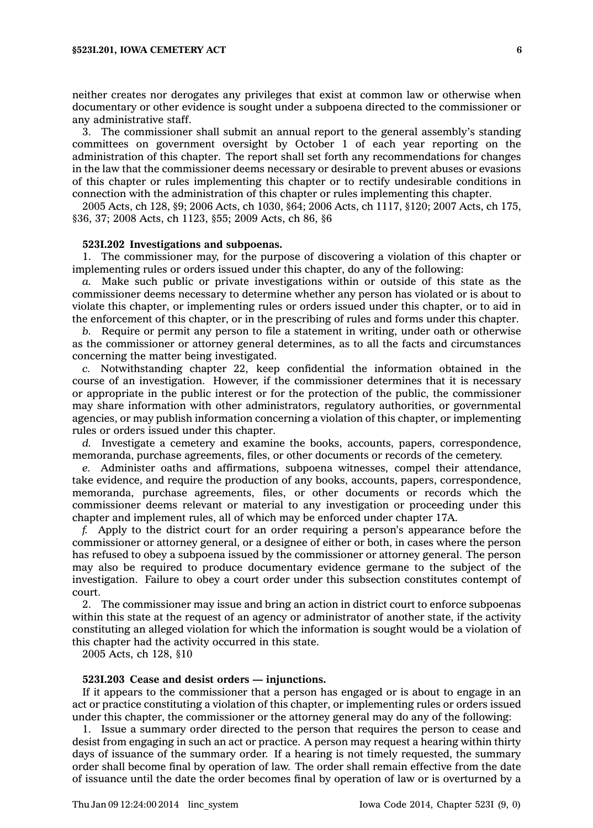neither creates nor derogates any privileges that exist at common law or otherwise when documentary or other evidence is sought under <sup>a</sup> subpoena directed to the commissioner or any administrative staff.

3. The commissioner shall submit an annual report to the general assembly's standing committees on government oversight by October 1 of each year reporting on the administration of this chapter. The report shall set forth any recommendations for changes in the law that the commissioner deems necessary or desirable to prevent abuses or evasions of this chapter or rules implementing this chapter or to rectify undesirable conditions in connection with the administration of this chapter or rules implementing this chapter.

2005 Acts, ch 128, §9; 2006 Acts, ch 1030, §64; 2006 Acts, ch 1117, §120; 2007 Acts, ch 175, §36, 37; 2008 Acts, ch 1123, §55; 2009 Acts, ch 86, §6

#### **523I.202 Investigations and subpoenas.**

1. The commissioner may, for the purpose of discovering <sup>a</sup> violation of this chapter or implementing rules or orders issued under this chapter, do any of the following:

*a.* Make such public or private investigations within or outside of this state as the commissioner deems necessary to determine whether any person has violated or is about to violate this chapter, or implementing rules or orders issued under this chapter, or to aid in the enforcement of this chapter, or in the prescribing of rules and forms under this chapter.

*b.* Require or permit any person to file <sup>a</sup> statement in writing, under oath or otherwise as the commissioner or attorney general determines, as to all the facts and circumstances concerning the matter being investigated.

*c.* Notwithstanding chapter 22, keep confidential the information obtained in the course of an investigation. However, if the commissioner determines that it is necessary or appropriate in the public interest or for the protection of the public, the commissioner may share information with other administrators, regulatory authorities, or governmental agencies, or may publish information concerning <sup>a</sup> violation of this chapter, or implementing rules or orders issued under this chapter.

*d.* Investigate <sup>a</sup> cemetery and examine the books, accounts, papers, correspondence, memoranda, purchase agreements, files, or other documents or records of the cemetery.

*e.* Administer oaths and affirmations, subpoena witnesses, compel their attendance, take evidence, and require the production of any books, accounts, papers, correspondence, memoranda, purchase agreements, files, or other documents or records which the commissioner deems relevant or material to any investigation or proceeding under this chapter and implement rules, all of which may be enforced under chapter 17A.

*f.* Apply to the district court for an order requiring <sup>a</sup> person's appearance before the commissioner or attorney general, or <sup>a</sup> designee of either or both, in cases where the person has refused to obey <sup>a</sup> subpoena issued by the commissioner or attorney general. The person may also be required to produce documentary evidence germane to the subject of the investigation. Failure to obey <sup>a</sup> court order under this subsection constitutes contempt of court.

2. The commissioner may issue and bring an action in district court to enforce subpoenas within this state at the request of an agency or administrator of another state, if the activity constituting an alleged violation for which the information is sought would be <sup>a</sup> violation of this chapter had the activity occurred in this state.

2005 Acts, ch 128, §10

# **523I.203 Cease and desist orders — injunctions.**

If it appears to the commissioner that <sup>a</sup> person has engaged or is about to engage in an act or practice constituting <sup>a</sup> violation of this chapter, or implementing rules or orders issued under this chapter, the commissioner or the attorney general may do any of the following:

1. Issue <sup>a</sup> summary order directed to the person that requires the person to cease and desist from engaging in such an act or practice. A person may request <sup>a</sup> hearing within thirty days of issuance of the summary order. If <sup>a</sup> hearing is not timely requested, the summary order shall become final by operation of law. The order shall remain effective from the date of issuance until the date the order becomes final by operation of law or is overturned by <sup>a</sup>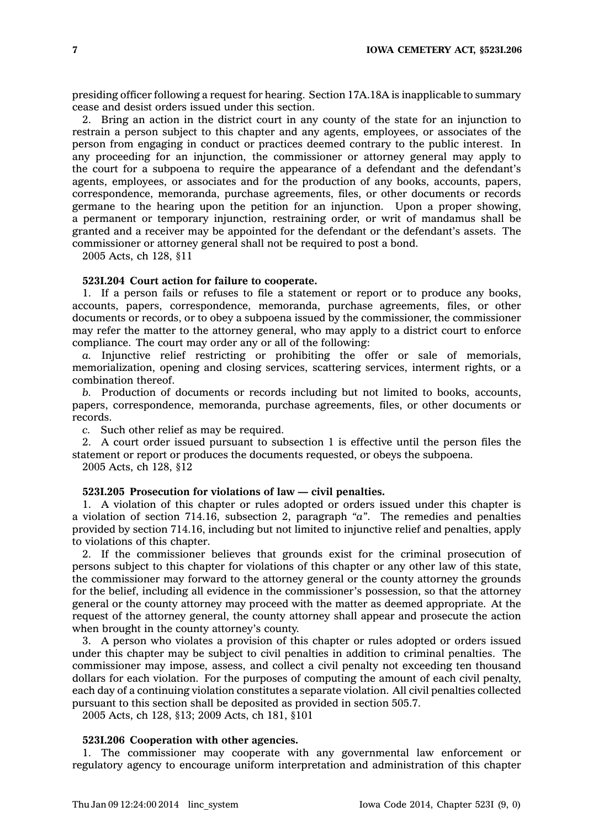presiding officer following <sup>a</sup> request for hearing. Section 17A.18A is inapplicable to summary cease and desist orders issued under this section.

2. Bring an action in the district court in any county of the state for an injunction to restrain <sup>a</sup> person subject to this chapter and any agents, employees, or associates of the person from engaging in conduct or practices deemed contrary to the public interest. In any proceeding for an injunction, the commissioner or attorney general may apply to the court for <sup>a</sup> subpoena to require the appearance of <sup>a</sup> defendant and the defendant's agents, employees, or associates and for the production of any books, accounts, papers, correspondence, memoranda, purchase agreements, files, or other documents or records germane to the hearing upon the petition for an injunction. Upon <sup>a</sup> proper showing, <sup>a</sup> permanent or temporary injunction, restraining order, or writ of mandamus shall be granted and <sup>a</sup> receiver may be appointed for the defendant or the defendant's assets. The commissioner or attorney general shall not be required to post <sup>a</sup> bond.

2005 Acts, ch 128, §11

#### **523I.204 Court action for failure to cooperate.**

1. If <sup>a</sup> person fails or refuses to file <sup>a</sup> statement or report or to produce any books, accounts, papers, correspondence, memoranda, purchase agreements, files, or other documents or records, or to obey <sup>a</sup> subpoena issued by the commissioner, the commissioner may refer the matter to the attorney general, who may apply to <sup>a</sup> district court to enforce compliance. The court may order any or all of the following:

*a.* Injunctive relief restricting or prohibiting the offer or sale of memorials, memorialization, opening and closing services, scattering services, interment rights, or <sup>a</sup> combination thereof.

*b.* Production of documents or records including but not limited to books, accounts, papers, correspondence, memoranda, purchase agreements, files, or other documents or records.

*c.* Such other relief as may be required.

2. A court order issued pursuant to subsection 1 is effective until the person files the statement or report or produces the documents requested, or obeys the subpoena.

2005 Acts, ch 128, §12

# **523I.205 Prosecution for violations of law — civil penalties.**

1. A violation of this chapter or rules adopted or orders issued under this chapter is <sup>a</sup> violation of section 714.16, subsection 2, paragraph *"a"*. The remedies and penalties provided by section 714.16, including but not limited to injunctive relief and penalties, apply to violations of this chapter.

2. If the commissioner believes that grounds exist for the criminal prosecution of persons subject to this chapter for violations of this chapter or any other law of this state, the commissioner may forward to the attorney general or the county attorney the grounds for the belief, including all evidence in the commissioner's possession, so that the attorney general or the county attorney may proceed with the matter as deemed appropriate. At the request of the attorney general, the county attorney shall appear and prosecute the action when brought in the county attorney's county.

3. A person who violates <sup>a</sup> provision of this chapter or rules adopted or orders issued under this chapter may be subject to civil penalties in addition to criminal penalties. The commissioner may impose, assess, and collect <sup>a</sup> civil penalty not exceeding ten thousand dollars for each violation. For the purposes of computing the amount of each civil penalty, each day of <sup>a</sup> continuing violation constitutes <sup>a</sup> separate violation. All civil penalties collected pursuant to this section shall be deposited as provided in section 505.7.

2005 Acts, ch 128, §13; 2009 Acts, ch 181, §101

### **523I.206 Cooperation with other agencies.**

1. The commissioner may cooperate with any governmental law enforcement or regulatory agency to encourage uniform interpretation and administration of this chapter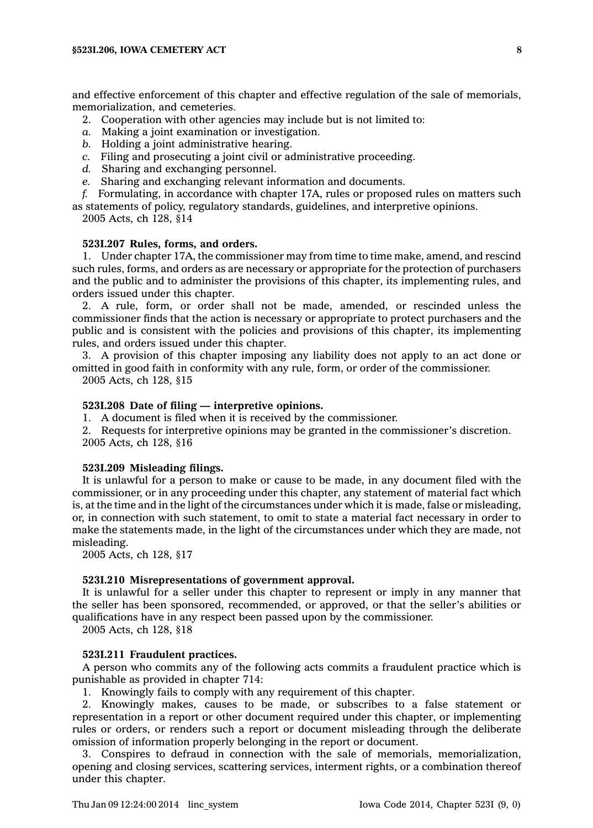and effective enforcement of this chapter and effective regulation of the sale of memorials, memorialization, and cemeteries.

- 2. Cooperation with other agencies may include but is not limited to:
- *a.* Making <sup>a</sup> joint examination or investigation.
- *b.* Holding <sup>a</sup> joint administrative hearing.
- *c.* Filing and prosecuting <sup>a</sup> joint civil or administrative proceeding.
- *d.* Sharing and exchanging personnel.
- *e.* Sharing and exchanging relevant information and documents.
- *f.* Formulating, in accordance with chapter 17A, rules or proposed rules on matters such as statements of policy, regulatory standards, guidelines, and interpretive opinions.
	- 2005 Acts, ch 128, §14

### **523I.207 Rules, forms, and orders.**

1. Under chapter 17A, the commissioner may from time to time make, amend, and rescind such rules, forms, and orders as are necessary or appropriate for the protection of purchasers and the public and to administer the provisions of this chapter, its implementing rules, and orders issued under this chapter.

2. A rule, form, or order shall not be made, amended, or rescinded unless the commissioner finds that the action is necessary or appropriate to protect purchasers and the public and is consistent with the policies and provisions of this chapter, its implementing rules, and orders issued under this chapter.

3. A provision of this chapter imposing any liability does not apply to an act done or omitted in good faith in conformity with any rule, form, or order of the commissioner. 2005 Acts, ch 128, §15

# **523I.208 Date of filing — interpretive opinions.**

1. A document is filed when it is received by the commissioner.

2. Requests for interpretive opinions may be granted in the commissioner's discretion. 2005 Acts, ch 128, §16

# **523I.209 Misleading filings.**

It is unlawful for <sup>a</sup> person to make or cause to be made, in any document filed with the commissioner, or in any proceeding under this chapter, any statement of material fact which is, at the time and in the light of the circumstances under which it is made, false or misleading, or, in connection with such statement, to omit to state <sup>a</sup> material fact necessary in order to make the statements made, in the light of the circumstances under which they are made, not misleading.

2005 Acts, ch 128, §17

# **523I.210 Misrepresentations of government approval.**

It is unlawful for <sup>a</sup> seller under this chapter to represent or imply in any manner that the seller has been sponsored, recommended, or approved, or that the seller's abilities or qualifications have in any respect been passed upon by the commissioner.

2005 Acts, ch 128, §18

# **523I.211 Fraudulent practices.**

A person who commits any of the following acts commits <sup>a</sup> fraudulent practice which is punishable as provided in chapter 714:

1. Knowingly fails to comply with any requirement of this chapter.

2. Knowingly makes, causes to be made, or subscribes to <sup>a</sup> false statement or representation in <sup>a</sup> report or other document required under this chapter, or implementing rules or orders, or renders such <sup>a</sup> report or document misleading through the deliberate omission of information properly belonging in the report or document.

3. Conspires to defraud in connection with the sale of memorials, memorialization, opening and closing services, scattering services, interment rights, or <sup>a</sup> combination thereof under this chapter.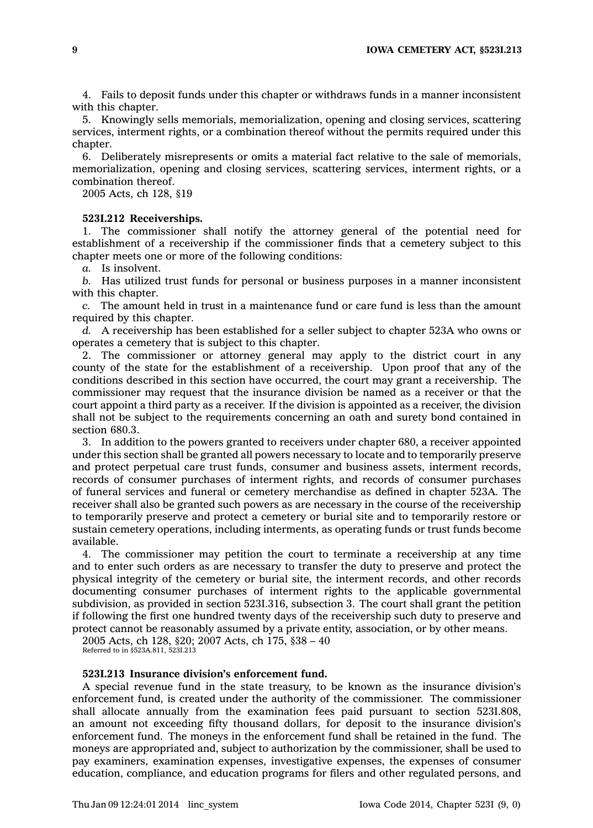4. Fails to deposit funds under this chapter or withdraws funds in <sup>a</sup> manner inconsistent with this chapter.

5. Knowingly sells memorials, memorialization, opening and closing services, scattering services, interment rights, or <sup>a</sup> combination thereof without the permits required under this chapter.

6. Deliberately misrepresents or omits <sup>a</sup> material fact relative to the sale of memorials, memorialization, opening and closing services, scattering services, interment rights, or <sup>a</sup> combination thereof.

2005 Acts, ch 128, §19

### **523I.212 Receiverships.**

1. The commissioner shall notify the attorney general of the potential need for establishment of <sup>a</sup> receivership if the commissioner finds that <sup>a</sup> cemetery subject to this chapter meets one or more of the following conditions:

*a.* Is insolvent.

*b.* Has utilized trust funds for personal or business purposes in <sup>a</sup> manner inconsistent with this chapter.

*c.* The amount held in trust in <sup>a</sup> maintenance fund or care fund is less than the amount required by this chapter.

*d.* A receivership has been established for <sup>a</sup> seller subject to chapter 523A who owns or operates <sup>a</sup> cemetery that is subject to this chapter.

2. The commissioner or attorney general may apply to the district court in any county of the state for the establishment of <sup>a</sup> receivership. Upon proof that any of the conditions described in this section have occurred, the court may grant <sup>a</sup> receivership. The commissioner may request that the insurance division be named as <sup>a</sup> receiver or that the court appoint <sup>a</sup> third party as <sup>a</sup> receiver. If the division is appointed as <sup>a</sup> receiver, the division shall not be subject to the requirements concerning an oath and surety bond contained in section 680.3.

3. In addition to the powers granted to receivers under chapter 680, <sup>a</sup> receiver appointed under this section shall be granted all powers necessary to locate and to temporarily preserve and protect perpetual care trust funds, consumer and business assets, interment records, records of consumer purchases of interment rights, and records of consumer purchases of funeral services and funeral or cemetery merchandise as defined in chapter 523A. The receiver shall also be granted such powers as are necessary in the course of the receivership to temporarily preserve and protect <sup>a</sup> cemetery or burial site and to temporarily restore or sustain cemetery operations, including interments, as operating funds or trust funds become available.

4. The commissioner may petition the court to terminate <sup>a</sup> receivership at any time and to enter such orders as are necessary to transfer the duty to preserve and protect the physical integrity of the cemetery or burial site, the interment records, and other records documenting consumer purchases of interment rights to the applicable governmental subdivision, as provided in section 523I.316, subsection 3. The court shall grant the petition if following the first one hundred twenty days of the receivership such duty to preserve and protect cannot be reasonably assumed by <sup>a</sup> private entity, association, or by other means.

2005 Acts, ch 128, §20; 2007 Acts, ch 175, §38 – 40 Referred to in §523A.811, 523I.213

# **523I.213 Insurance division's enforcement fund.**

A special revenue fund in the state treasury, to be known as the insurance division's enforcement fund, is created under the authority of the commissioner. The commissioner shall allocate annually from the examination fees paid pursuant to section 523I.808, an amount not exceeding fifty thousand dollars, for deposit to the insurance division's enforcement fund. The moneys in the enforcement fund shall be retained in the fund. The moneys are appropriated and, subject to authorization by the commissioner, shall be used to pay examiners, examination expenses, investigative expenses, the expenses of consumer education, compliance, and education programs for filers and other regulated persons, and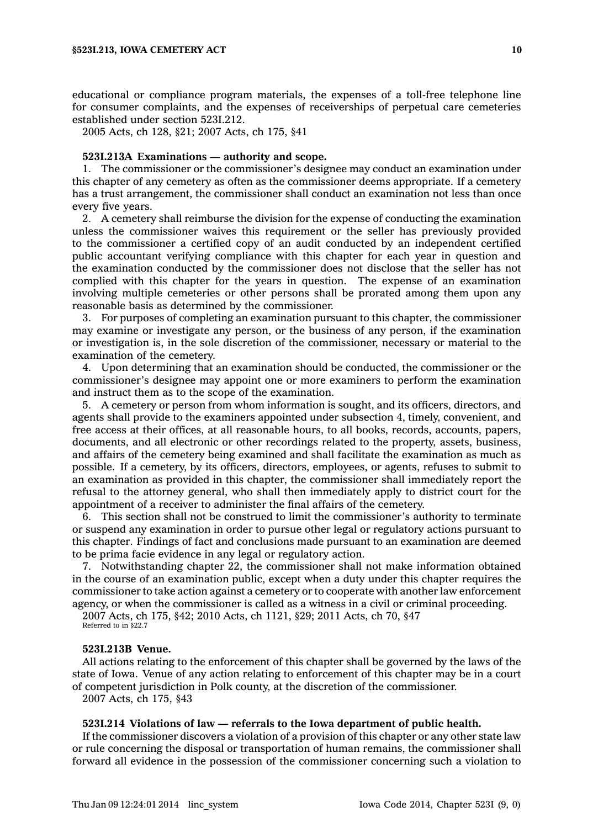educational or compliance program materials, the expenses of <sup>a</sup> toll-free telephone line for consumer complaints, and the expenses of receiverships of perpetual care cemeteries established under section 523I.212.

2005 Acts, ch 128, §21; 2007 Acts, ch 175, §41

## **523I.213A Examinations — authority and scope.**

1. The commissioner or the commissioner's designee may conduct an examination under this chapter of any cemetery as often as the commissioner deems appropriate. If <sup>a</sup> cemetery has <sup>a</sup> trust arrangement, the commissioner shall conduct an examination not less than once every five years.

2. A cemetery shall reimburse the division for the expense of conducting the examination unless the commissioner waives this requirement or the seller has previously provided to the commissioner <sup>a</sup> certified copy of an audit conducted by an independent certified public accountant verifying compliance with this chapter for each year in question and the examination conducted by the commissioner does not disclose that the seller has not complied with this chapter for the years in question. The expense of an examination involving multiple cemeteries or other persons shall be prorated among them upon any reasonable basis as determined by the commissioner.

3. For purposes of completing an examination pursuant to this chapter, the commissioner may examine or investigate any person, or the business of any person, if the examination or investigation is, in the sole discretion of the commissioner, necessary or material to the examination of the cemetery.

4. Upon determining that an examination should be conducted, the commissioner or the commissioner's designee may appoint one or more examiners to perform the examination and instruct them as to the scope of the examination.

5. A cemetery or person from whom information is sought, and its officers, directors, and agents shall provide to the examiners appointed under subsection 4, timely, convenient, and free access at their offices, at all reasonable hours, to all books, records, accounts, papers, documents, and all electronic or other recordings related to the property, assets, business, and affairs of the cemetery being examined and shall facilitate the examination as much as possible. If <sup>a</sup> cemetery, by its officers, directors, employees, or agents, refuses to submit to an examination as provided in this chapter, the commissioner shall immediately report the refusal to the attorney general, who shall then immediately apply to district court for the appointment of <sup>a</sup> receiver to administer the final affairs of the cemetery.

6. This section shall not be construed to limit the commissioner's authority to terminate or suspend any examination in order to pursue other legal or regulatory actions pursuant to this chapter. Findings of fact and conclusions made pursuant to an examination are deemed to be prima facie evidence in any legal or regulatory action.

7. Notwithstanding chapter 22, the commissioner shall not make information obtained in the course of an examination public, except when <sup>a</sup> duty under this chapter requires the commissioner to take action against <sup>a</sup> cemetery or to cooperate with another law enforcement agency, or when the commissioner is called as <sup>a</sup> witness in <sup>a</sup> civil or criminal proceeding.

2007 Acts, ch 175, §42; 2010 Acts, ch 1121, §29; 2011 Acts, ch 70, §47

Referred to in §22.7

# **523I.213B Venue.**

All actions relating to the enforcement of this chapter shall be governed by the laws of the state of Iowa. Venue of any action relating to enforcement of this chapter may be in <sup>a</sup> court of competent jurisdiction in Polk county, at the discretion of the commissioner.

2007 Acts, ch 175, §43

# **523I.214 Violations of law — referrals to the Iowa department of public health.**

If the commissioner discovers <sup>a</sup> violation of <sup>a</sup> provision of this chapter or any other state law or rule concerning the disposal or transportation of human remains, the commissioner shall forward all evidence in the possession of the commissioner concerning such <sup>a</sup> violation to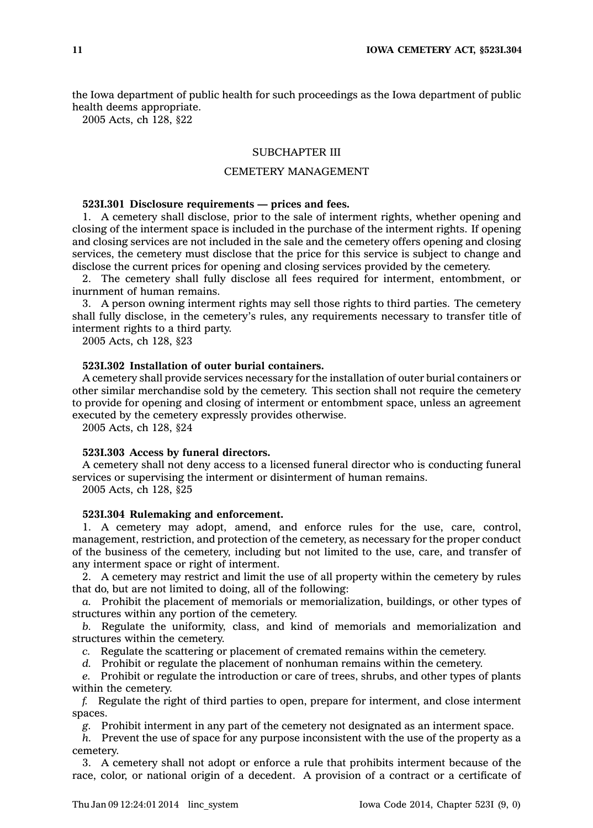the Iowa department of public health for such proceedings as the Iowa department of public health deems appropriate.

2005 Acts, ch 128, §22

# SUBCHAPTER III

# CEMETERY MANAGEMENT

### **523I.301 Disclosure requirements — prices and fees.**

1. A cemetery shall disclose, prior to the sale of interment rights, whether opening and closing of the interment space is included in the purchase of the interment rights. If opening and closing services are not included in the sale and the cemetery offers opening and closing services, the cemetery must disclose that the price for this service is subject to change and disclose the current prices for opening and closing services provided by the cemetery.

2. The cemetery shall fully disclose all fees required for interment, entombment, or inurnment of human remains.

3. A person owning interment rights may sell those rights to third parties. The cemetery shall fully disclose, in the cemetery's rules, any requirements necessary to transfer title of interment rights to <sup>a</sup> third party.

2005 Acts, ch 128, §23

# **523I.302 Installation of outer burial containers.**

A cemetery shall provide services necessary for the installation of outer burial containers or other similar merchandise sold by the cemetery. This section shall not require the cemetery to provide for opening and closing of interment or entombment space, unless an agreement executed by the cemetery expressly provides otherwise.

2005 Acts, ch 128, §24

#### **523I.303 Access by funeral directors.**

A cemetery shall not deny access to <sup>a</sup> licensed funeral director who is conducting funeral services or supervising the interment or disinterment of human remains.

2005 Acts, ch 128, §25

# **523I.304 Rulemaking and enforcement.**

1. A cemetery may adopt, amend, and enforce rules for the use, care, control, management, restriction, and protection of the cemetery, as necessary for the proper conduct of the business of the cemetery, including but not limited to the use, care, and transfer of any interment space or right of interment.

2. A cemetery may restrict and limit the use of all property within the cemetery by rules that do, but are not limited to doing, all of the following:

*a.* Prohibit the placement of memorials or memorialization, buildings, or other types of structures within any portion of the cemetery.

*b.* Regulate the uniformity, class, and kind of memorials and memorialization and structures within the cemetery.

*c.* Regulate the scattering or placement of cremated remains within the cemetery.

*d.* Prohibit or regulate the placement of nonhuman remains within the cemetery.

*e.* Prohibit or regulate the introduction or care of trees, shrubs, and other types of plants within the cemetery.

*f.* Regulate the right of third parties to open, prepare for interment, and close interment spaces.

*g.* Prohibit interment in any part of the cemetery not designated as an interment space.

*h.* Prevent the use of space for any purpose inconsistent with the use of the property as <sup>a</sup> cemetery.

3. A cemetery shall not adopt or enforce <sup>a</sup> rule that prohibits interment because of the race, color, or national origin of <sup>a</sup> decedent. A provision of <sup>a</sup> contract or <sup>a</sup> certificate of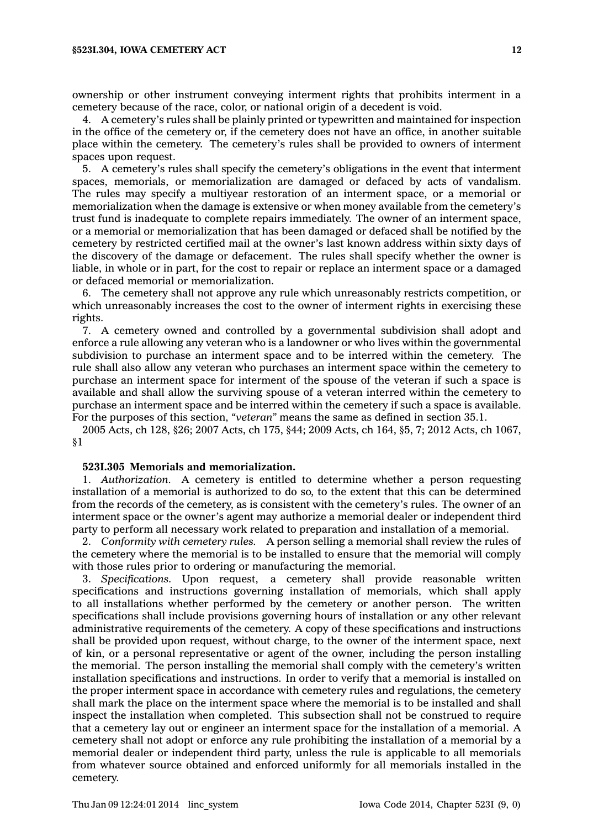ownership or other instrument conveying interment rights that prohibits interment in <sup>a</sup> cemetery because of the race, color, or national origin of <sup>a</sup> decedent is void.

4. A cemetery's rules shall be plainly printed or typewritten and maintained for inspection in the office of the cemetery or, if the cemetery does not have an office, in another suitable place within the cemetery. The cemetery's rules shall be provided to owners of interment spaces upon request.

5. A cemetery's rules shall specify the cemetery's obligations in the event that interment spaces, memorials, or memorialization are damaged or defaced by acts of vandalism. The rules may specify <sup>a</sup> multiyear restoration of an interment space, or <sup>a</sup> memorial or memorialization when the damage is extensive or when money available from the cemetery's trust fund is inadequate to complete repairs immediately. The owner of an interment space, or <sup>a</sup> memorial or memorialization that has been damaged or defaced shall be notified by the cemetery by restricted certified mail at the owner's last known address within sixty days of the discovery of the damage or defacement. The rules shall specify whether the owner is liable, in whole or in part, for the cost to repair or replace an interment space or <sup>a</sup> damaged or defaced memorial or memorialization.

6. The cemetery shall not approve any rule which unreasonably restricts competition, or which unreasonably increases the cost to the owner of interment rights in exercising these rights.

7. A cemetery owned and controlled by <sup>a</sup> governmental subdivision shall adopt and enforce <sup>a</sup> rule allowing any veteran who is <sup>a</sup> landowner or who lives within the governmental subdivision to purchase an interment space and to be interred within the cemetery. The rule shall also allow any veteran who purchases an interment space within the cemetery to purchase an interment space for interment of the spouse of the veteran if such <sup>a</sup> space is available and shall allow the surviving spouse of <sup>a</sup> veteran interred within the cemetery to purchase an interment space and be interred within the cemetery if such <sup>a</sup> space is available. For the purposes of this section, *"veteran"* means the same as defined in section 35.1.

2005 Acts, ch 128, §26; 2007 Acts, ch 175, §44; 2009 Acts, ch 164, §5, 7; 2012 Acts, ch 1067, §1

#### **523I.305 Memorials and memorialization.**

1. *Authorization.* A cemetery is entitled to determine whether <sup>a</sup> person requesting installation of <sup>a</sup> memorial is authorized to do so, to the extent that this can be determined from the records of the cemetery, as is consistent with the cemetery's rules. The owner of an interment space or the owner's agent may authorize <sup>a</sup> memorial dealer or independent third party to perform all necessary work related to preparation and installation of <sup>a</sup> memorial.

2. *Conformity with cemetery rules.* A person selling <sup>a</sup> memorial shall review the rules of the cemetery where the memorial is to be installed to ensure that the memorial will comply with those rules prior to ordering or manufacturing the memorial.

3. *Specifications.* Upon request, <sup>a</sup> cemetery shall provide reasonable written specifications and instructions governing installation of memorials, which shall apply to all installations whether performed by the cemetery or another person. The written specifications shall include provisions governing hours of installation or any other relevant administrative requirements of the cemetery. A copy of these specifications and instructions shall be provided upon request, without charge, to the owner of the interment space, next of kin, or <sup>a</sup> personal representative or agent of the owner, including the person installing the memorial. The person installing the memorial shall comply with the cemetery's written installation specifications and instructions. In order to verify that <sup>a</sup> memorial is installed on the proper interment space in accordance with cemetery rules and regulations, the cemetery shall mark the place on the interment space where the memorial is to be installed and shall inspect the installation when completed. This subsection shall not be construed to require that <sup>a</sup> cemetery lay out or engineer an interment space for the installation of <sup>a</sup> memorial. A cemetery shall not adopt or enforce any rule prohibiting the installation of <sup>a</sup> memorial by <sup>a</sup> memorial dealer or independent third party, unless the rule is applicable to all memorials from whatever source obtained and enforced uniformly for all memorials installed in the cemetery.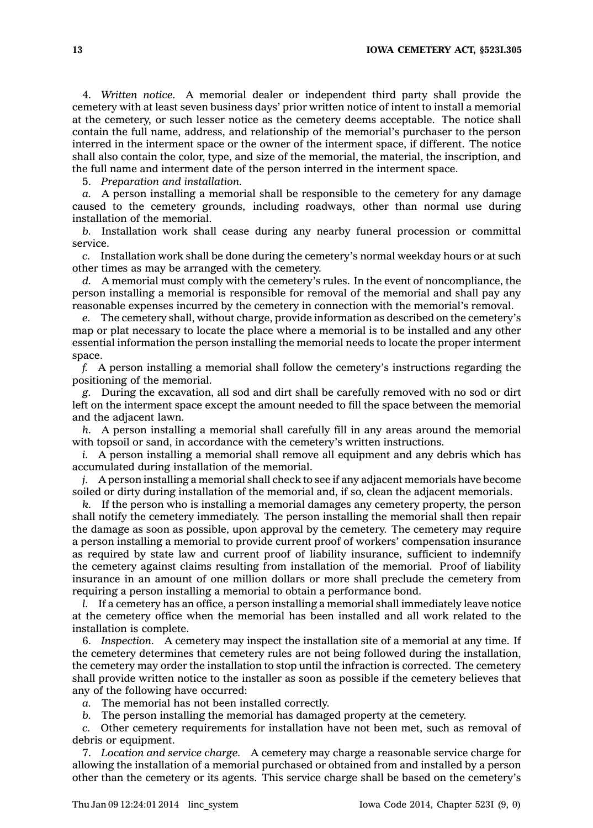4. *Written notice.* A memorial dealer or independent third party shall provide the cemetery with at least seven business days' prior written notice of intent to install <sup>a</sup> memorial at the cemetery, or such lesser notice as the cemetery deems acceptable. The notice shall contain the full name, address, and relationship of the memorial's purchaser to the person interred in the interment space or the owner of the interment space, if different. The notice shall also contain the color, type, and size of the memorial, the material, the inscription, and the full name and interment date of the person interred in the interment space.

5. *Preparation and installation.*

*a.* A person installing <sup>a</sup> memorial shall be responsible to the cemetery for any damage caused to the cemetery grounds, including roadways, other than normal use during installation of the memorial.

*b.* Installation work shall cease during any nearby funeral procession or committal service.

*c.* Installation work shall be done during the cemetery's normal weekday hours or at such other times as may be arranged with the cemetery.

*d.* A memorial must comply with the cemetery's rules. In the event of noncompliance, the person installing <sup>a</sup> memorial is responsible for removal of the memorial and shall pay any reasonable expenses incurred by the cemetery in connection with the memorial's removal.

*e.* The cemetery shall, without charge, provide information as described on the cemetery's map or plat necessary to locate the place where <sup>a</sup> memorial is to be installed and any other essential information the person installing the memorial needs to locate the proper interment space.

*f.* A person installing <sup>a</sup> memorial shall follow the cemetery's instructions regarding the positioning of the memorial.

*g.* During the excavation, all sod and dirt shall be carefully removed with no sod or dirt left on the interment space except the amount needed to fill the space between the memorial and the adjacent lawn.

*h.* A person installing <sup>a</sup> memorial shall carefully fill in any areas around the memorial with topsoil or sand, in accordance with the cemetery's written instructions.

*i.* A person installing a memorial shall remove all equipment and any debris which has accumulated during installation of the memorial.

*j.* A person installing <sup>a</sup> memorial shall check to see if any adjacent memorials have become soiled or dirty during installation of the memorial and, if so, clean the adjacent memorials.

*k.* If the person who is installing <sup>a</sup> memorial damages any cemetery property, the person shall notify the cemetery immediately. The person installing the memorial shall then repair the damage as soon as possible, upon approval by the cemetery. The cemetery may require <sup>a</sup> person installing <sup>a</sup> memorial to provide current proof of workers' compensation insurance as required by state law and current proof of liability insurance, sufficient to indemnify the cemetery against claims resulting from installation of the memorial. Proof of liability insurance in an amount of one million dollars or more shall preclude the cemetery from requiring <sup>a</sup> person installing <sup>a</sup> memorial to obtain <sup>a</sup> performance bond.

*l.* If <sup>a</sup> cemetery has an office, <sup>a</sup> person installing <sup>a</sup> memorial shall immediately leave notice at the cemetery office when the memorial has been installed and all work related to the installation is complete.

6. *Inspection.* A cemetery may inspect the installation site of <sup>a</sup> memorial at any time. If the cemetery determines that cemetery rules are not being followed during the installation, the cemetery may order the installation to stop until the infraction is corrected. The cemetery shall provide written notice to the installer as soon as possible if the cemetery believes that any of the following have occurred:

*a.* The memorial has not been installed correctly.

*b.* The person installing the memorial has damaged property at the cemetery.

*c.* Other cemetery requirements for installation have not been met, such as removal of debris or equipment.

7. *Location and service charge.* A cemetery may charge <sup>a</sup> reasonable service charge for allowing the installation of <sup>a</sup> memorial purchased or obtained from and installed by <sup>a</sup> person other than the cemetery or its agents. This service charge shall be based on the cemetery's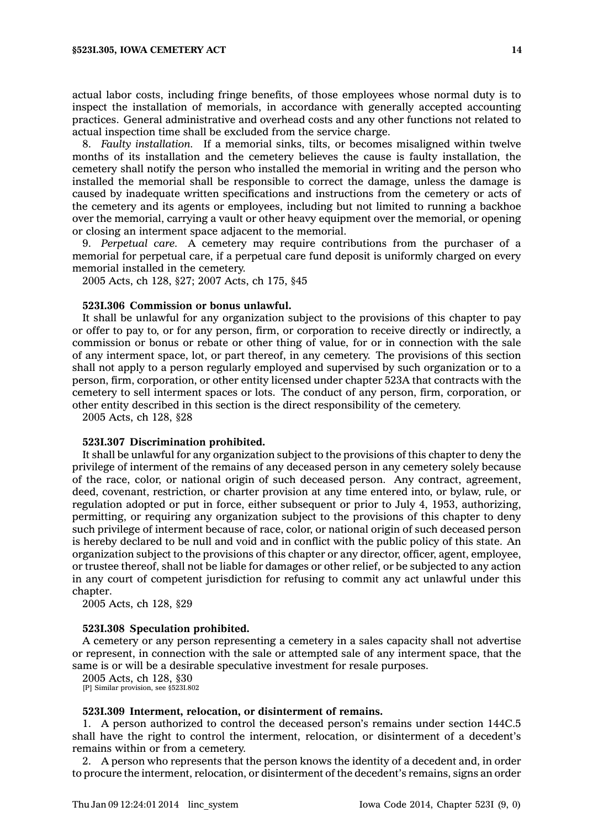actual labor costs, including fringe benefits, of those employees whose normal duty is to inspect the installation of memorials, in accordance with generally accepted accounting practices. General administrative and overhead costs and any other functions not related to actual inspection time shall be excluded from the service charge.

8. *Faulty installation.* If <sup>a</sup> memorial sinks, tilts, or becomes misaligned within twelve months of its installation and the cemetery believes the cause is faulty installation, the cemetery shall notify the person who installed the memorial in writing and the person who installed the memorial shall be responsible to correct the damage, unless the damage is caused by inadequate written specifications and instructions from the cemetery or acts of the cemetery and its agents or employees, including but not limited to running <sup>a</sup> backhoe over the memorial, carrying <sup>a</sup> vault or other heavy equipment over the memorial, or opening or closing an interment space adjacent to the memorial.

9. *Perpetual care.* A cemetery may require contributions from the purchaser of <sup>a</sup> memorial for perpetual care, if <sup>a</sup> perpetual care fund deposit is uniformly charged on every memorial installed in the cemetery.

2005 Acts, ch 128, §27; 2007 Acts, ch 175, §45

#### **523I.306 Commission or bonus unlawful.**

It shall be unlawful for any organization subject to the provisions of this chapter to pay or offer to pay to, or for any person, firm, or corporation to receive directly or indirectly, <sup>a</sup> commission or bonus or rebate or other thing of value, for or in connection with the sale of any interment space, lot, or part thereof, in any cemetery. The provisions of this section shall not apply to <sup>a</sup> person regularly employed and supervised by such organization or to <sup>a</sup> person, firm, corporation, or other entity licensed under chapter 523A that contracts with the cemetery to sell interment spaces or lots. The conduct of any person, firm, corporation, or other entity described in this section is the direct responsibility of the cemetery.

2005 Acts, ch 128, §28

### **523I.307 Discrimination prohibited.**

It shall be unlawful for any organization subject to the provisions of this chapter to deny the privilege of interment of the remains of any deceased person in any cemetery solely because of the race, color, or national origin of such deceased person. Any contract, agreement, deed, covenant, restriction, or charter provision at any time entered into, or bylaw, rule, or regulation adopted or put in force, either subsequent or prior to July 4, 1953, authorizing, permitting, or requiring any organization subject to the provisions of this chapter to deny such privilege of interment because of race, color, or national origin of such deceased person is hereby declared to be null and void and in conflict with the public policy of this state. An organization subject to the provisions of this chapter or any director, officer, agent, employee, or trustee thereof, shall not be liable for damages or other relief, or be subjected to any action in any court of competent jurisdiction for refusing to commit any act unlawful under this chapter.

2005 Acts, ch 128, §29

#### **523I.308 Speculation prohibited.**

A cemetery or any person representing <sup>a</sup> cemetery in <sup>a</sup> sales capacity shall not advertise or represent, in connection with the sale or attempted sale of any interment space, that the same is or will be <sup>a</sup> desirable speculative investment for resale purposes.

2005 Acts, ch 128, §30

[P] Similar provision, see §523I.802

#### **523I.309 Interment, relocation, or disinterment of remains.**

1. A person authorized to control the deceased person's remains under section 144C.5 shall have the right to control the interment, relocation, or disinterment of <sup>a</sup> decedent's remains within or from <sup>a</sup> cemetery.

2. A person who represents that the person knows the identity of <sup>a</sup> decedent and, in order to procure the interment, relocation, or disinterment of the decedent's remains, signs an order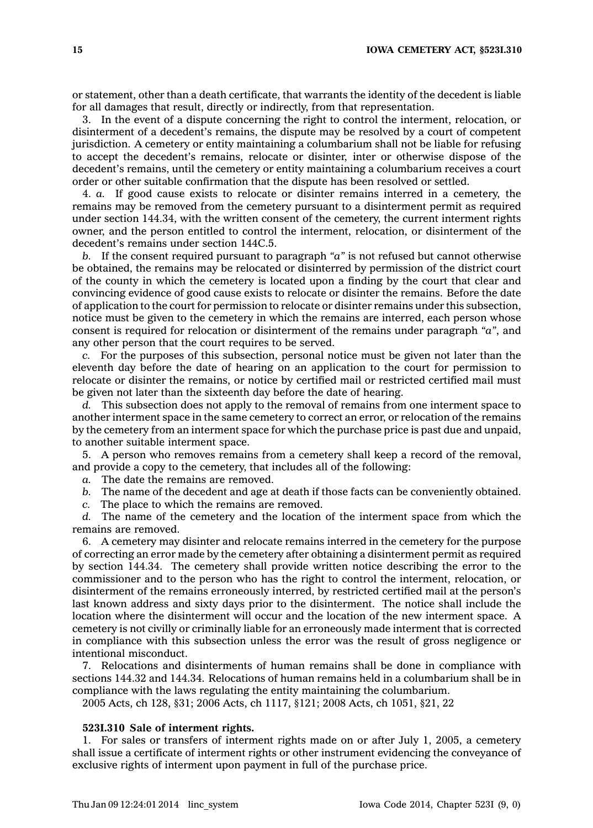or statement, other than <sup>a</sup> death certificate, that warrants the identity of the decedent is liable for all damages that result, directly or indirectly, from that representation.

3. In the event of <sup>a</sup> dispute concerning the right to control the interment, relocation, or disinterment of <sup>a</sup> decedent's remains, the dispute may be resolved by <sup>a</sup> court of competent jurisdiction. A cemetery or entity maintaining <sup>a</sup> columbarium shall not be liable for refusing to accept the decedent's remains, relocate or disinter, inter or otherwise dispose of the decedent's remains, until the cemetery or entity maintaining <sup>a</sup> columbarium receives <sup>a</sup> court order or other suitable confirmation that the dispute has been resolved or settled.

4. *a.* If good cause exists to relocate or disinter remains interred in <sup>a</sup> cemetery, the remains may be removed from the cemetery pursuant to <sup>a</sup> disinterment permit as required under section 144.34, with the written consent of the cemetery, the current interment rights owner, and the person entitled to control the interment, relocation, or disinterment of the decedent's remains under section 144C.5.

*b.* If the consent required pursuant to paragraph *"a"* is not refused but cannot otherwise be obtained, the remains may be relocated or disinterred by permission of the district court of the county in which the cemetery is located upon <sup>a</sup> finding by the court that clear and convincing evidence of good cause exists to relocate or disinter the remains. Before the date of application to the court for permission to relocate or disinter remains under this subsection, notice must be given to the cemetery in which the remains are interred, each person whose consent is required for relocation or disinterment of the remains under paragraph *"a"*, and any other person that the court requires to be served.

*c.* For the purposes of this subsection, personal notice must be given not later than the eleventh day before the date of hearing on an application to the court for permission to relocate or disinter the remains, or notice by certified mail or restricted certified mail must be given not later than the sixteenth day before the date of hearing.

*d.* This subsection does not apply to the removal of remains from one interment space to another interment space in the same cemetery to correct an error, or relocation of the remains by the cemetery from an interment space for which the purchase price is past due and unpaid, to another suitable interment space.

5. A person who removes remains from <sup>a</sup> cemetery shall keep <sup>a</sup> record of the removal, and provide <sup>a</sup> copy to the cemetery, that includes all of the following:

*a.* The date the remains are removed.

*b.* The name of the decedent and age at death if those facts can be conveniently obtained.

*c.* The place to which the remains are removed.

*d.* The name of the cemetery and the location of the interment space from which the remains are removed.

6. A cemetery may disinter and relocate remains interred in the cemetery for the purpose of correcting an error made by the cemetery after obtaining <sup>a</sup> disinterment permit as required by section 144.34. The cemetery shall provide written notice describing the error to the commissioner and to the person who has the right to control the interment, relocation, or disinterment of the remains erroneously interred, by restricted certified mail at the person's last known address and sixty days prior to the disinterment. The notice shall include the location where the disinterment will occur and the location of the new interment space. A cemetery is not civilly or criminally liable for an erroneously made interment that is corrected in compliance with this subsection unless the error was the result of gross negligence or intentional misconduct.

7. Relocations and disinterments of human remains shall be done in compliance with sections 144.32 and 144.34. Relocations of human remains held in <sup>a</sup> columbarium shall be in compliance with the laws regulating the entity maintaining the columbarium.

2005 Acts, ch 128, §31; 2006 Acts, ch 1117, §121; 2008 Acts, ch 1051, §21, 22

#### **523I.310 Sale of interment rights.**

1. For sales or transfers of interment rights made on or after July 1, 2005, <sup>a</sup> cemetery shall issue <sup>a</sup> certificate of interment rights or other instrument evidencing the conveyance of exclusive rights of interment upon payment in full of the purchase price.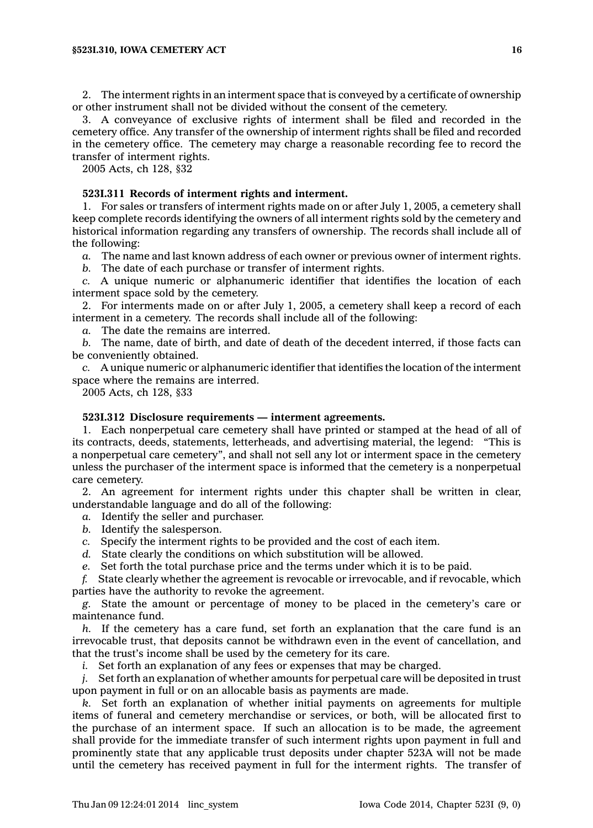2. The interment rights in an interment space that is conveyed by <sup>a</sup> certificate of ownership or other instrument shall not be divided without the consent of the cemetery.

3. A conveyance of exclusive rights of interment shall be filed and recorded in the cemetery office. Any transfer of the ownership of interment rights shall be filed and recorded in the cemetery office. The cemetery may charge <sup>a</sup> reasonable recording fee to record the transfer of interment rights.

2005 Acts, ch 128, §32

# **523I.311 Records of interment rights and interment.**

1. For sales or transfers of interment rights made on or after July 1, 2005, <sup>a</sup> cemetery shall keep complete records identifying the owners of all interment rights sold by the cemetery and historical information regarding any transfers of ownership. The records shall include all of the following:

*a.* The name and last known address of each owner or previous owner of interment rights.

*b.* The date of each purchase or transfer of interment rights.

*c.* A unique numeric or alphanumeric identifier that identifies the location of each interment space sold by the cemetery.

2. For interments made on or after July 1, 2005, <sup>a</sup> cemetery shall keep <sup>a</sup> record of each interment in <sup>a</sup> cemetery. The records shall include all of the following:

*a.* The date the remains are interred.

*b.* The name, date of birth, and date of death of the decedent interred, if those facts can be conveniently obtained.

*c.* A unique numeric or alphanumeric identifier that identifies the location of the interment space where the remains are interred.

2005 Acts, ch 128, §33

### **523I.312 Disclosure requirements — interment agreements.**

1. Each nonperpetual care cemetery shall have printed or stamped at the head of all of its contracts, deeds, statements, letterheads, and advertising material, the legend: "This is <sup>a</sup> nonperpetual care cemetery", and shall not sell any lot or interment space in the cemetery unless the purchaser of the interment space is informed that the cemetery is <sup>a</sup> nonperpetual care cemetery.

2. An agreement for interment rights under this chapter shall be written in clear, understandable language and do all of the following:

*a.* Identify the seller and purchaser.

- *b.* Identify the salesperson.
- *c.* Specify the interment rights to be provided and the cost of each item.
- *d.* State clearly the conditions on which substitution will be allowed.
- *e.* Set forth the total purchase price and the terms under which it is to be paid.

*f.* State clearly whether the agreement is revocable or irrevocable, and if revocable, which parties have the authority to revoke the agreement.

*g.* State the amount or percentage of money to be placed in the cemetery's care or maintenance fund.

*h.* If the cemetery has <sup>a</sup> care fund, set forth an explanation that the care fund is an irrevocable trust, that deposits cannot be withdrawn even in the event of cancellation, and that the trust's income shall be used by the cemetery for its care.

*i.* Set forth an explanation of any fees or expenses that may be charged.

*j.* Set forth an explanation of whether amounts for perpetual care will be deposited in trust upon payment in full or on an allocable basis as payments are made.

*k.* Set forth an explanation of whether initial payments on agreements for multiple items of funeral and cemetery merchandise or services, or both, will be allocated first to the purchase of an interment space. If such an allocation is to be made, the agreement shall provide for the immediate transfer of such interment rights upon payment in full and prominently state that any applicable trust deposits under chapter 523A will not be made until the cemetery has received payment in full for the interment rights. The transfer of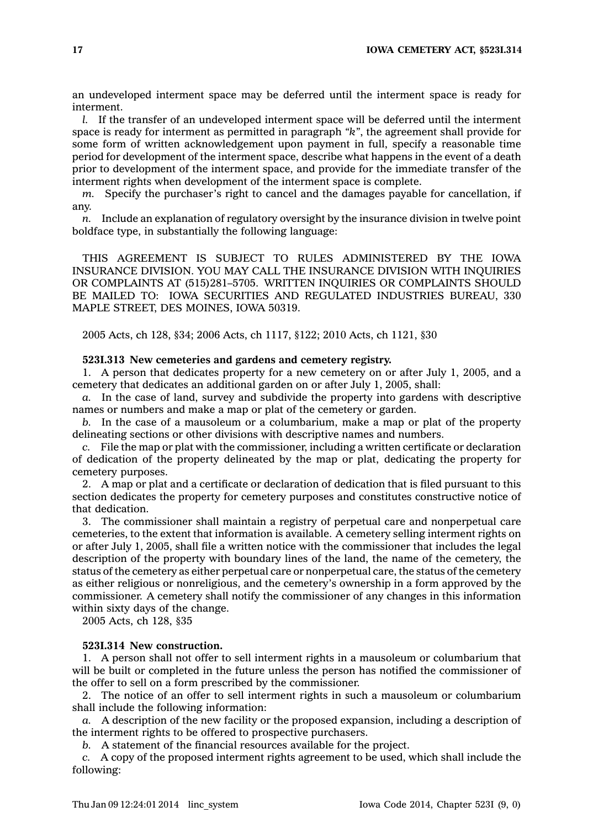an undeveloped interment space may be deferred until the interment space is ready for interment.

*l.* If the transfer of an undeveloped interment space will be deferred until the interment space is ready for interment as permitted in paragraph *"k"*, the agreement shall provide for some form of written acknowledgement upon payment in full, specify <sup>a</sup> reasonable time period for development of the interment space, describe what happens in the event of <sup>a</sup> death prior to development of the interment space, and provide for the immediate transfer of the interment rights when development of the interment space is complete.

*m.* Specify the purchaser's right to cancel and the damages payable for cancellation, if any.

*n.* Include an explanation of regulatory oversight by the insurance division in twelve point boldface type, in substantially the following language:

THIS AGREEMENT IS SUBJECT TO RULES ADMINISTERED BY THE IOWA INSURANCE DIVISION. YOU MAY CALL THE INSURANCE DIVISION WITH INQUIRIES OR COMPLAINTS AT (515)281–5705. WRITTEN INQUIRIES OR COMPLAINTS SHOULD BE MAILED TO: IOWA SECURITIES AND REGULATED INDUSTRIES BUREAU, 330 MAPLE STREET, DES MOINES, IOWA 50319.

2005 Acts, ch 128, §34; 2006 Acts, ch 1117, §122; 2010 Acts, ch 1121, §30

# **523I.313 New cemeteries and gardens and cemetery registry.**

1. A person that dedicates property for <sup>a</sup> new cemetery on or after July 1, 2005, and <sup>a</sup> cemetery that dedicates an additional garden on or after July 1, 2005, shall:

*a.* In the case of land, survey and subdivide the property into gardens with descriptive names or numbers and make <sup>a</sup> map or plat of the cemetery or garden.

*b.* In the case of <sup>a</sup> mausoleum or <sup>a</sup> columbarium, make <sup>a</sup> map or plat of the property delineating sections or other divisions with descriptive names and numbers.

*c.* File the map or plat with the commissioner, including <sup>a</sup> written certificate or declaration of dedication of the property delineated by the map or plat, dedicating the property for cemetery purposes.

2. A map or plat and <sup>a</sup> certificate or declaration of dedication that is filed pursuant to this section dedicates the property for cemetery purposes and constitutes constructive notice of that dedication.

3. The commissioner shall maintain <sup>a</sup> registry of perpetual care and nonperpetual care cemeteries, to the extent that information is available. A cemetery selling interment rights on or after July 1, 2005, shall file <sup>a</sup> written notice with the commissioner that includes the legal description of the property with boundary lines of the land, the name of the cemetery, the status of the cemetery as either perpetual care or nonperpetual care, the status of the cemetery as either religious or nonreligious, and the cemetery's ownership in <sup>a</sup> form approved by the commissioner. A cemetery shall notify the commissioner of any changes in this information within sixty days of the change.

2005 Acts, ch 128, §35

#### **523I.314 New construction.**

1. A person shall not offer to sell interment rights in <sup>a</sup> mausoleum or columbarium that will be built or completed in the future unless the person has notified the commissioner of the offer to sell on <sup>a</sup> form prescribed by the commissioner.

2. The notice of an offer to sell interment rights in such <sup>a</sup> mausoleum or columbarium shall include the following information:

*a.* A description of the new facility or the proposed expansion, including <sup>a</sup> description of the interment rights to be offered to prospective purchasers.

*b.* A statement of the financial resources available for the project.

*c.* A copy of the proposed interment rights agreement to be used, which shall include the following: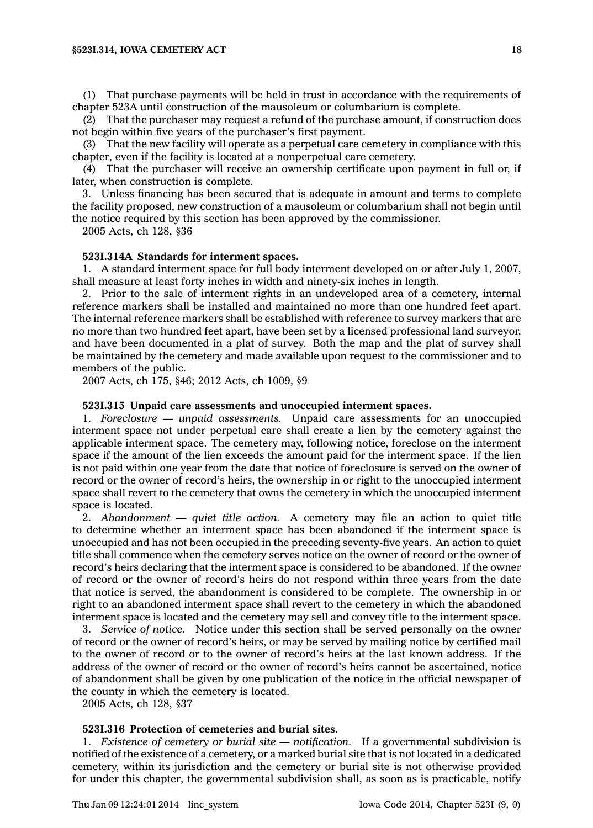#### **§523I.314, IOWA CEMETERY ACT 18**

(1) That purchase payments will be held in trust in accordance with the requirements of chapter 523A until construction of the mausoleum or columbarium is complete.

(2) That the purchaser may request <sup>a</sup> refund of the purchase amount, if construction does not begin within five years of the purchaser's first payment.

(3) That the new facility will operate as <sup>a</sup> perpetual care cemetery in compliance with this chapter, even if the facility is located at <sup>a</sup> nonperpetual care cemetery.

(4) That the purchaser will receive an ownership certificate upon payment in full or, if later, when construction is complete.

3. Unless financing has been secured that is adequate in amount and terms to complete the facility proposed, new construction of <sup>a</sup> mausoleum or columbarium shall not begin until the notice required by this section has been approved by the commissioner.

2005 Acts, ch 128, §36

# **523I.314A Standards for interment spaces.**

1. A standard interment space for full body interment developed on or after July 1, 2007, shall measure at least forty inches in width and ninety-six inches in length.

2. Prior to the sale of interment rights in an undeveloped area of <sup>a</sup> cemetery, internal reference markers shall be installed and maintained no more than one hundred feet apart. The internal reference markers shall be established with reference to survey markers that are no more than two hundred feet apart, have been set by <sup>a</sup> licensed professional land surveyor, and have been documented in <sup>a</sup> plat of survey. Both the map and the plat of survey shall be maintained by the cemetery and made available upon request to the commissioner and to members of the public.

2007 Acts, ch 175, §46; 2012 Acts, ch 1009, §9

# **523I.315 Unpaid care assessments and unoccupied interment spaces.**

1. *Foreclosure — unpaid assessments.* Unpaid care assessments for an unoccupied interment space not under perpetual care shall create <sup>a</sup> lien by the cemetery against the applicable interment space. The cemetery may, following notice, foreclose on the interment space if the amount of the lien exceeds the amount paid for the interment space. If the lien is not paid within one year from the date that notice of foreclosure is served on the owner of record or the owner of record's heirs, the ownership in or right to the unoccupied interment space shall revert to the cemetery that owns the cemetery in which the unoccupied interment space is located.

2. *Abandonment — quiet title action.* A cemetery may file an action to quiet title to determine whether an interment space has been abandoned if the interment space is unoccupied and has not been occupied in the preceding seventy-five years. An action to quiet title shall commence when the cemetery serves notice on the owner of record or the owner of record's heirs declaring that the interment space is considered to be abandoned. If the owner of record or the owner of record's heirs do not respond within three years from the date that notice is served, the abandonment is considered to be complete. The ownership in or right to an abandoned interment space shall revert to the cemetery in which the abandoned interment space is located and the cemetery may sell and convey title to the interment space.

3. *Service of notice.* Notice under this section shall be served personally on the owner of record or the owner of record's heirs, or may be served by mailing notice by certified mail to the owner of record or to the owner of record's heirs at the last known address. If the address of the owner of record or the owner of record's heirs cannot be ascertained, notice of abandonment shall be given by one publication of the notice in the official newspaper of the county in which the cemetery is located.

2005 Acts, ch 128, §37

# **523I.316 Protection of cemeteries and burial sites.**

1. *Existence of cemetery or burial site — notification.* If <sup>a</sup> governmental subdivision is notified of the existence of <sup>a</sup> cemetery, or <sup>a</sup> marked burial site that is not located in <sup>a</sup> dedicated cemetery, within its jurisdiction and the cemetery or burial site is not otherwise provided for under this chapter, the governmental subdivision shall, as soon as is practicable, notify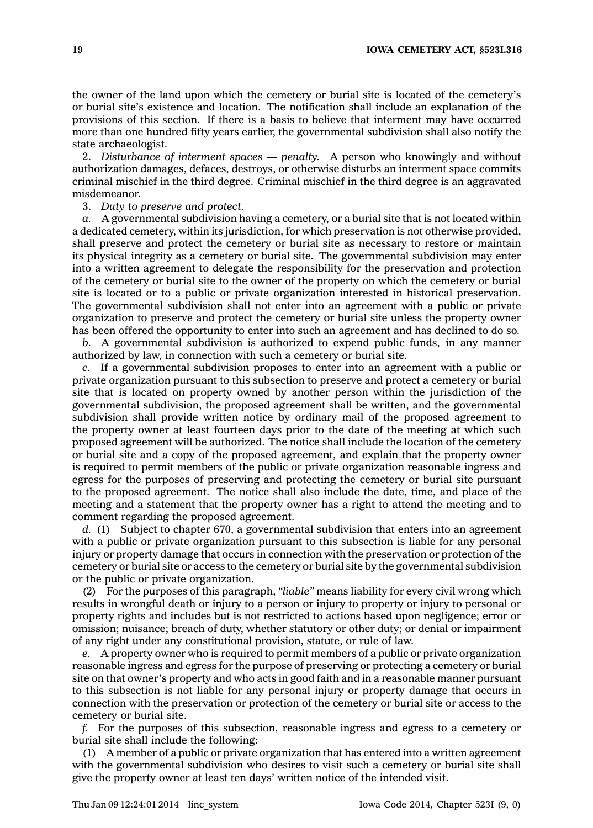the owner of the land upon which the cemetery or burial site is located of the cemetery's or burial site's existence and location. The notification shall include an explanation of the provisions of this section. If there is <sup>a</sup> basis to believe that interment may have occurred more than one hundred fifty years earlier, the governmental subdivision shall also notify the state archaeologist.

2. *Disturbance of interment spaces — penalty.* A person who knowingly and without authorization damages, defaces, destroys, or otherwise disturbs an interment space commits criminal mischief in the third degree. Criminal mischief in the third degree is an aggravated misdemeanor.

3. *Duty to preserve and protect.*

*a.* A governmental subdivision having <sup>a</sup> cemetery, or <sup>a</sup> burial site that is not located within <sup>a</sup> dedicated cemetery, within its jurisdiction, for which preservation is not otherwise provided, shall preserve and protect the cemetery or burial site as necessary to restore or maintain its physical integrity as <sup>a</sup> cemetery or burial site. The governmental subdivision may enter into <sup>a</sup> written agreement to delegate the responsibility for the preservation and protection of the cemetery or burial site to the owner of the property on which the cemetery or burial site is located or to <sup>a</sup> public or private organization interested in historical preservation. The governmental subdivision shall not enter into an agreement with <sup>a</sup> public or private organization to preserve and protect the cemetery or burial site unless the property owner has been offered the opportunity to enter into such an agreement and has declined to do so.

*b.* A governmental subdivision is authorized to expend public funds, in any manner authorized by law, in connection with such <sup>a</sup> cemetery or burial site.

*c.* If <sup>a</sup> governmental subdivision proposes to enter into an agreement with <sup>a</sup> public or private organization pursuant to this subsection to preserve and protect <sup>a</sup> cemetery or burial site that is located on property owned by another person within the jurisdiction of the governmental subdivision, the proposed agreement shall be written, and the governmental subdivision shall provide written notice by ordinary mail of the proposed agreement to the property owner at least fourteen days prior to the date of the meeting at which such proposed agreement will be authorized. The notice shall include the location of the cemetery or burial site and <sup>a</sup> copy of the proposed agreement, and explain that the property owner is required to permit members of the public or private organization reasonable ingress and egress for the purposes of preserving and protecting the cemetery or burial site pursuant to the proposed agreement. The notice shall also include the date, time, and place of the meeting and <sup>a</sup> statement that the property owner has <sup>a</sup> right to attend the meeting and to comment regarding the proposed agreement.

*d.* (1) Subject to chapter 670, <sup>a</sup> governmental subdivision that enters into an agreement with <sup>a</sup> public or private organization pursuant to this subsection is liable for any personal injury or property damage that occurs in connection with the preservation or protection of the cemetery or burial site or access to the cemetery or burial site by the governmental subdivision or the public or private organization.

(2) For the purposes of this paragraph, *"liable"* means liability for every civil wrong which results in wrongful death or injury to <sup>a</sup> person or injury to property or injury to personal or property rights and includes but is not restricted to actions based upon negligence; error or omission; nuisance; breach of duty, whether statutory or other duty; or denial or impairment of any right under any constitutional provision, statute, or rule of law.

*e.* A property owner who is required to permit members of <sup>a</sup> public or private organization reasonable ingress and egress for the purpose of preserving or protecting <sup>a</sup> cemetery or burial site on that owner's property and who acts in good faith and in <sup>a</sup> reasonable manner pursuant to this subsection is not liable for any personal injury or property damage that occurs in connection with the preservation or protection of the cemetery or burial site or access to the cemetery or burial site.

*f.* For the purposes of this subsection, reasonable ingress and egress to <sup>a</sup> cemetery or burial site shall include the following:

(1) A member of <sup>a</sup> public or private organization that has entered into <sup>a</sup> written agreement with the governmental subdivision who desires to visit such <sup>a</sup> cemetery or burial site shall give the property owner at least ten days' written notice of the intended visit.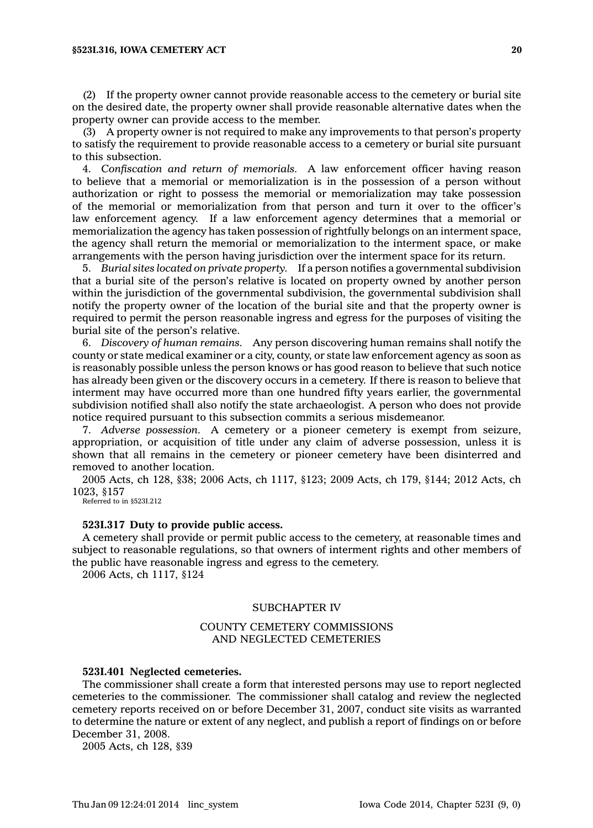#### **§523I.316, IOWA CEMETERY ACT 20**

(2) If the property owner cannot provide reasonable access to the cemetery or burial site on the desired date, the property owner shall provide reasonable alternative dates when the property owner can provide access to the member.

(3) A property owner is not required to make any improvements to that person's property to satisfy the requirement to provide reasonable access to <sup>a</sup> cemetery or burial site pursuant to this subsection.

4. *Confiscation and return of memorials.* A law enforcement officer having reason to believe that <sup>a</sup> memorial or memorialization is in the possession of <sup>a</sup> person without authorization or right to possess the memorial or memorialization may take possession of the memorial or memorialization from that person and turn it over to the officer's law enforcement agency. If <sup>a</sup> law enforcement agency determines that <sup>a</sup> memorial or memorialization the agency has taken possession of rightfully belongs on an interment space, the agency shall return the memorial or memorialization to the interment space, or make arrangements with the person having jurisdiction over the interment space for its return.

5. *Burial sites located on private property.* If <sup>a</sup> person notifies <sup>a</sup> governmental subdivision that <sup>a</sup> burial site of the person's relative is located on property owned by another person within the jurisdiction of the governmental subdivision, the governmental subdivision shall notify the property owner of the location of the burial site and that the property owner is required to permit the person reasonable ingress and egress for the purposes of visiting the burial site of the person's relative.

6. *Discovery of human remains.* Any person discovering human remains shall notify the county or state medical examiner or <sup>a</sup> city, county, or state law enforcement agency as soon as is reasonably possible unless the person knows or has good reason to believe that such notice has already been given or the discovery occurs in <sup>a</sup> cemetery. If there is reason to believe that interment may have occurred more than one hundred fifty years earlier, the governmental subdivision notified shall also notify the state archaeologist. A person who does not provide notice required pursuant to this subsection commits <sup>a</sup> serious misdemeanor.

7. *Adverse possession.* A cemetery or <sup>a</sup> pioneer cemetery is exempt from seizure, appropriation, or acquisition of title under any claim of adverse possession, unless it is shown that all remains in the cemetery or pioneer cemetery have been disinterred and removed to another location.

2005 Acts, ch 128, §38; 2006 Acts, ch 1117, §123; 2009 Acts, ch 179, §144; 2012 Acts, ch 1023, §157

Referred to in §523I.212

### **523I.317 Duty to provide public access.**

A cemetery shall provide or permit public access to the cemetery, at reasonable times and subject to reasonable regulations, so that owners of interment rights and other members of the public have reasonable ingress and egress to the cemetery.

2006 Acts, ch 1117, §124

### SUBCHAPTER IV

# COUNTY CEMETERY COMMISSIONS AND NEGLECTED CEMETERIES

### **523I.401 Neglected cemeteries.**

The commissioner shall create <sup>a</sup> form that interested persons may use to report neglected cemeteries to the commissioner. The commissioner shall catalog and review the neglected cemetery reports received on or before December 31, 2007, conduct site visits as warranted to determine the nature or extent of any neglect, and publish <sup>a</sup> report of findings on or before December 31, 2008.

2005 Acts, ch 128, §39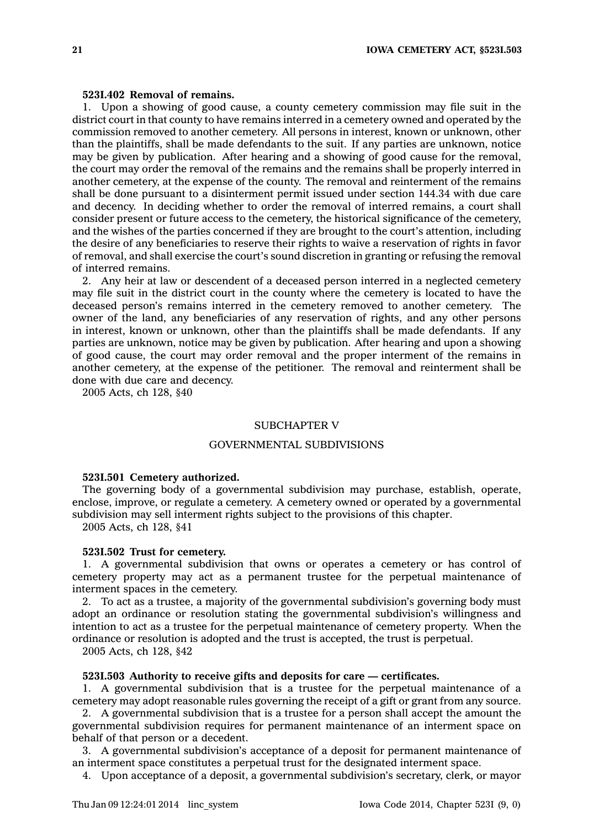## **523I.402 Removal of remains.**

1. Upon <sup>a</sup> showing of good cause, <sup>a</sup> county cemetery commission may file suit in the district court in that county to have remains interred in <sup>a</sup> cemetery owned and operated by the commission removed to another cemetery. All persons in interest, known or unknown, other than the plaintiffs, shall be made defendants to the suit. If any parties are unknown, notice may be given by publication. After hearing and <sup>a</sup> showing of good cause for the removal, the court may order the removal of the remains and the remains shall be properly interred in another cemetery, at the expense of the county. The removal and reinterment of the remains shall be done pursuant to <sup>a</sup> disinterment permit issued under section 144.34 with due care and decency. In deciding whether to order the removal of interred remains, <sup>a</sup> court shall consider present or future access to the cemetery, the historical significance of the cemetery, and the wishes of the parties concerned if they are brought to the court's attention, including the desire of any beneficiaries to reserve their rights to waive <sup>a</sup> reservation of rights in favor of removal, and shall exercise the court's sound discretion in granting or refusing the removal of interred remains.

2. Any heir at law or descendent of <sup>a</sup> deceased person interred in <sup>a</sup> neglected cemetery may file suit in the district court in the county where the cemetery is located to have the deceased person's remains interred in the cemetery removed to another cemetery. The owner of the land, any beneficiaries of any reservation of rights, and any other persons in interest, known or unknown, other than the plaintiffs shall be made defendants. If any parties are unknown, notice may be given by publication. After hearing and upon <sup>a</sup> showing of good cause, the court may order removal and the proper interment of the remains in another cemetery, at the expense of the petitioner. The removal and reinterment shall be done with due care and decency.

2005 Acts, ch 128, §40

### SUBCHAPTER V

### GOVERNMENTAL SUBDIVISIONS

#### **523I.501 Cemetery authorized.**

The governing body of <sup>a</sup> governmental subdivision may purchase, establish, operate, enclose, improve, or regulate <sup>a</sup> cemetery. A cemetery owned or operated by <sup>a</sup> governmental subdivision may sell interment rights subject to the provisions of this chapter.

2005 Acts, ch 128, §41

# **523I.502 Trust for cemetery.**

1. A governmental subdivision that owns or operates <sup>a</sup> cemetery or has control of cemetery property may act as <sup>a</sup> permanent trustee for the perpetual maintenance of interment spaces in the cemetery.

2. To act as <sup>a</sup> trustee, <sup>a</sup> majority of the governmental subdivision's governing body must adopt an ordinance or resolution stating the governmental subdivision's willingness and intention to act as <sup>a</sup> trustee for the perpetual maintenance of cemetery property. When the ordinance or resolution is adopted and the trust is accepted, the trust is perpetual.

2005 Acts, ch 128, §42

### **523I.503 Authority to receive gifts and deposits for care — certificates.**

1. A governmental subdivision that is <sup>a</sup> trustee for the perpetual maintenance of <sup>a</sup> cemetery may adopt reasonable rules governing the receipt of <sup>a</sup> gift or grant from any source.

2. A governmental subdivision that is <sup>a</sup> trustee for <sup>a</sup> person shall accept the amount the governmental subdivision requires for permanent maintenance of an interment space on behalf of that person or <sup>a</sup> decedent.

3. A governmental subdivision's acceptance of <sup>a</sup> deposit for permanent maintenance of an interment space constitutes <sup>a</sup> perpetual trust for the designated interment space.

4. Upon acceptance of <sup>a</sup> deposit, <sup>a</sup> governmental subdivision's secretary, clerk, or mayor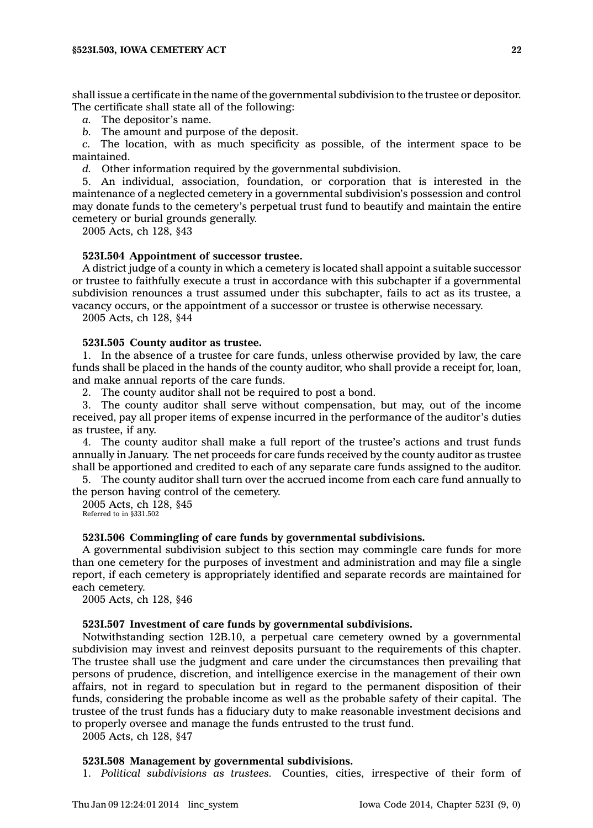shall issue <sup>a</sup> certificate in the name of the governmental subdivision to the trustee or depositor. The certificate shall state all of the following:

*a.* The depositor's name.

*b.* The amount and purpose of the deposit.

*c.* The location, with as much specificity as possible, of the interment space to be maintained.

*d.* Other information required by the governmental subdivision.

5. An individual, association, foundation, or corporation that is interested in the maintenance of <sup>a</sup> neglected cemetery in <sup>a</sup> governmental subdivision's possession and control may donate funds to the cemetery's perpetual trust fund to beautify and maintain the entire cemetery or burial grounds generally.

2005 Acts, ch 128, §43

### **523I.504 Appointment of successor trustee.**

A district judge of <sup>a</sup> county in which <sup>a</sup> cemetery is located shall appoint <sup>a</sup> suitable successor or trustee to faithfully execute <sup>a</sup> trust in accordance with this subchapter if <sup>a</sup> governmental subdivision renounces <sup>a</sup> trust assumed under this subchapter, fails to act as its trustee, <sup>a</sup> vacancy occurs, or the appointment of <sup>a</sup> successor or trustee is otherwise necessary.

2005 Acts, ch 128, §44

### **523I.505 County auditor as trustee.**

1. In the absence of <sup>a</sup> trustee for care funds, unless otherwise provided by law, the care funds shall be placed in the hands of the county auditor, who shall provide <sup>a</sup> receipt for, loan, and make annual reports of the care funds.

2. The county auditor shall not be required to post <sup>a</sup> bond.

3. The county auditor shall serve without compensation, but may, out of the income received, pay all proper items of expense incurred in the performance of the auditor's duties as trustee, if any.

4. The county auditor shall make <sup>a</sup> full report of the trustee's actions and trust funds annually in January. The net proceeds for care funds received by the county auditor as trustee shall be apportioned and credited to each of any separate care funds assigned to the auditor.

5. The county auditor shall turn over the accrued income from each care fund annually to the person having control of the cemetery.

2005 Acts, ch 128, §45 Referred to in §331.502

### **523I.506 Commingling of care funds by governmental subdivisions.**

A governmental subdivision subject to this section may commingle care funds for more than one cemetery for the purposes of investment and administration and may file <sup>a</sup> single report, if each cemetery is appropriately identified and separate records are maintained for each cemetery.

2005 Acts, ch 128, §46

# **523I.507 Investment of care funds by governmental subdivisions.**

Notwithstanding section 12B.10, <sup>a</sup> perpetual care cemetery owned by <sup>a</sup> governmental subdivision may invest and reinvest deposits pursuant to the requirements of this chapter. The trustee shall use the judgment and care under the circumstances then prevailing that persons of prudence, discretion, and intelligence exercise in the management of their own affairs, not in regard to speculation but in regard to the permanent disposition of their funds, considering the probable income as well as the probable safety of their capital. The trustee of the trust funds has <sup>a</sup> fiduciary duty to make reasonable investment decisions and to properly oversee and manage the funds entrusted to the trust fund.

2005 Acts, ch 128, §47

#### **523I.508 Management by governmental subdivisions.**

1. *Political subdivisions as trustees.* Counties, cities, irrespective of their form of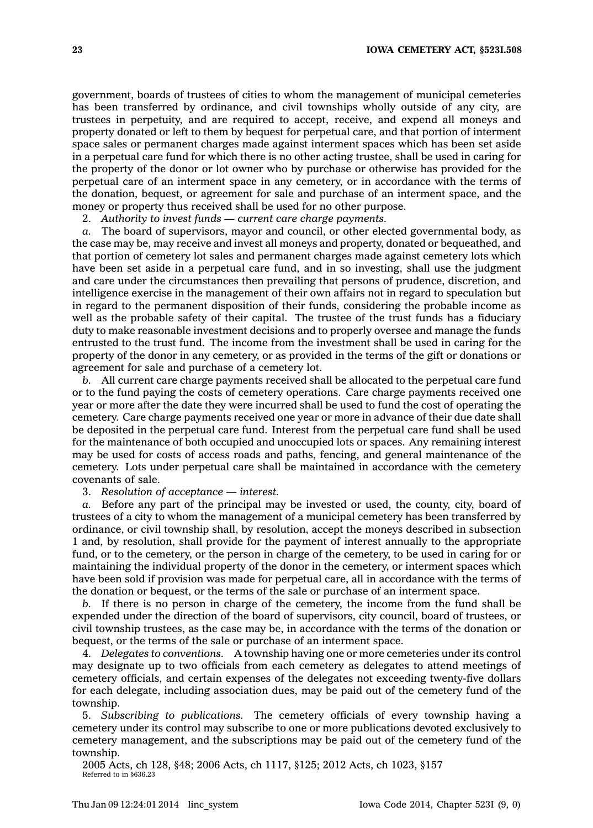government, boards of trustees of cities to whom the management of municipal cemeteries has been transferred by ordinance, and civil townships wholly outside of any city, are trustees in perpetuity, and are required to accept, receive, and expend all moneys and property donated or left to them by bequest for perpetual care, and that portion of interment space sales or permanent charges made against interment spaces which has been set aside in <sup>a</sup> perpetual care fund for which there is no other acting trustee, shall be used in caring for the property of the donor or lot owner who by purchase or otherwise has provided for the perpetual care of an interment space in any cemetery, or in accordance with the terms of the donation, bequest, or agreement for sale and purchase of an interment space, and the money or property thus received shall be used for no other purpose.

2. *Authority to invest funds — current care charge payments.*

*a.* The board of supervisors, mayor and council, or other elected governmental body, as the case may be, may receive and invest all moneys and property, donated or bequeathed, and that portion of cemetery lot sales and permanent charges made against cemetery lots which have been set aside in <sup>a</sup> perpetual care fund, and in so investing, shall use the judgment and care under the circumstances then prevailing that persons of prudence, discretion, and intelligence exercise in the management of their own affairs not in regard to speculation but in regard to the permanent disposition of their funds, considering the probable income as well as the probable safety of their capital. The trustee of the trust funds has a fiduciary duty to make reasonable investment decisions and to properly oversee and manage the funds entrusted to the trust fund. The income from the investment shall be used in caring for the property of the donor in any cemetery, or as provided in the terms of the gift or donations or agreement for sale and purchase of <sup>a</sup> cemetery lot.

*b.* All current care charge payments received shall be allocated to the perpetual care fund or to the fund paying the costs of cemetery operations. Care charge payments received one year or more after the date they were incurred shall be used to fund the cost of operating the cemetery. Care charge payments received one year or more in advance of their due date shall be deposited in the perpetual care fund. Interest from the perpetual care fund shall be used for the maintenance of both occupied and unoccupied lots or spaces. Any remaining interest may be used for costs of access roads and paths, fencing, and general maintenance of the cemetery. Lots under perpetual care shall be maintained in accordance with the cemetery covenants of sale.

3. *Resolution of acceptance — interest.*

*a.* Before any part of the principal may be invested or used, the county, city, board of trustees of <sup>a</sup> city to whom the management of <sup>a</sup> municipal cemetery has been transferred by ordinance, or civil township shall, by resolution, accept the moneys described in subsection 1 and, by resolution, shall provide for the payment of interest annually to the appropriate fund, or to the cemetery, or the person in charge of the cemetery, to be used in caring for or maintaining the individual property of the donor in the cemetery, or interment spaces which have been sold if provision was made for perpetual care, all in accordance with the terms of the donation or bequest, or the terms of the sale or purchase of an interment space.

*b.* If there is no person in charge of the cemetery, the income from the fund shall be expended under the direction of the board of supervisors, city council, board of trustees, or civil township trustees, as the case may be, in accordance with the terms of the donation or bequest, or the terms of the sale or purchase of an interment space.

4. *Delegates to conventions.* A township having one or more cemeteries under its control may designate up to two officials from each cemetery as delegates to attend meetings of cemetery officials, and certain expenses of the delegates not exceeding twenty-five dollars for each delegate, including association dues, may be paid out of the cemetery fund of the township.

5. *Subscribing to publications.* The cemetery officials of every township having <sup>a</sup> cemetery under its control may subscribe to one or more publications devoted exclusively to cemetery management, and the subscriptions may be paid out of the cemetery fund of the township.

2005 Acts, ch 128, §48; 2006 Acts, ch 1117, §125; 2012 Acts, ch 1023, §157 Referred to in §636.23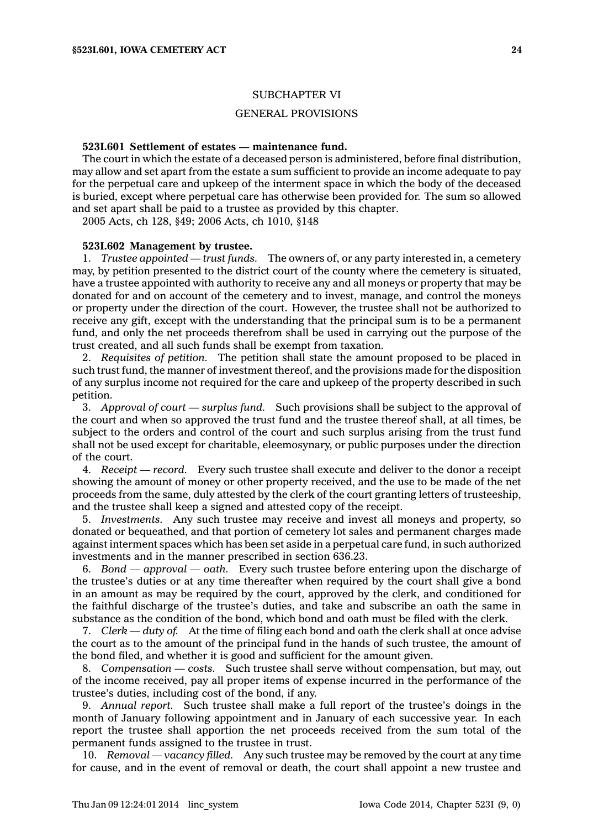## SUBCHAPTER VI

## GENERAL PROVISIONS

### **523I.601 Settlement of estates — maintenance fund.**

The court in which the estate of <sup>a</sup> deceased person is administered, before final distribution, may allow and set apart from the estate <sup>a</sup> sum sufficient to provide an income adequate to pay for the perpetual care and upkeep of the interment space in which the body of the deceased is buried, except where perpetual care has otherwise been provided for. The sum so allowed and set apart shall be paid to <sup>a</sup> trustee as provided by this chapter.

2005 Acts, ch 128, §49; 2006 Acts, ch 1010, §148

# **523I.602 Management by trustee.**

1. *Trustee appointed — trust funds.* The owners of, or any party interested in, <sup>a</sup> cemetery may, by petition presented to the district court of the county where the cemetery is situated, have <sup>a</sup> trustee appointed with authority to receive any and all moneys or property that may be donated for and on account of the cemetery and to invest, manage, and control the moneys or property under the direction of the court. However, the trustee shall not be authorized to receive any gift, except with the understanding that the principal sum is to be <sup>a</sup> permanent fund, and only the net proceeds therefrom shall be used in carrying out the purpose of the trust created, and all such funds shall be exempt from taxation.

2. *Requisites of petition.* The petition shall state the amount proposed to be placed in such trust fund, the manner of investment thereof, and the provisions made for the disposition of any surplus income not required for the care and upkeep of the property described in such petition.

3. *Approval of court —surplus fund.* Such provisions shall be subject to the approval of the court and when so approved the trust fund and the trustee thereof shall, at all times, be subject to the orders and control of the court and such surplus arising from the trust fund shall not be used except for charitable, eleemosynary, or public purposes under the direction of the court.

4. *Receipt —record.* Every such trustee shall execute and deliver to the donor <sup>a</sup> receipt showing the amount of money or other property received, and the use to be made of the net proceeds from the same, duly attested by the clerk of the court granting letters of trusteeship, and the trustee shall keep <sup>a</sup> signed and attested copy of the receipt.

5. *Investments.* Any such trustee may receive and invest all moneys and property, so donated or bequeathed, and that portion of cemetery lot sales and permanent charges made against interment spaces which has been set aside in <sup>a</sup> perpetual care fund, in such authorized investments and in the manner prescribed in section 636.23.

6. *Bond — approval —oath.* Every such trustee before entering upon the discharge of the trustee's duties or at any time thereafter when required by the court shall give <sup>a</sup> bond in an amount as may be required by the court, approved by the clerk, and conditioned for the faithful discharge of the trustee's duties, and take and subscribe an oath the same in substance as the condition of the bond, which bond and oath must be filed with the clerk.

7. *Clerk — duty of.* At the time of filing each bond and oath the clerk shall at once advise the court as to the amount of the principal fund in the hands of such trustee, the amount of the bond filed, and whether it is good and sufficient for the amount given.

8. *Compensation — costs.* Such trustee shall serve without compensation, but may, out of the income received, pay all proper items of expense incurred in the performance of the trustee's duties, including cost of the bond, if any.

9. *Annual report.* Such trustee shall make <sup>a</sup> full report of the trustee's doings in the month of January following appointment and in January of each successive year. In each report the trustee shall apportion the net proceeds received from the sum total of the permanent funds assigned to the trustee in trust.

10. *Removal — vacancy filled.* Any such trustee may be removed by the court at any time for cause, and in the event of removal or death, the court shall appoint <sup>a</sup> new trustee and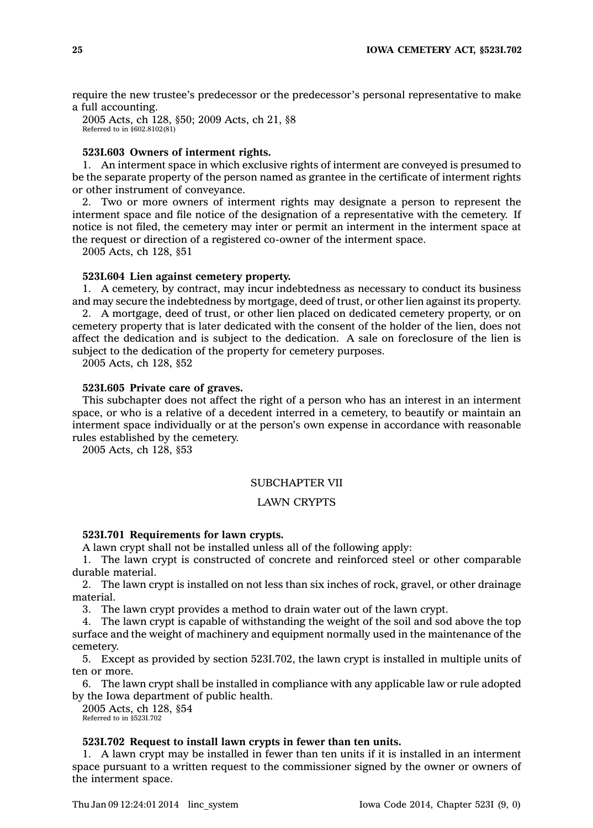require the new trustee's predecessor or the predecessor's personal representative to make <sup>a</sup> full accounting.

2005 Acts, ch 128, §50; 2009 Acts, ch 21, §8 Referred to in §602.8102(81)

# **523I.603 Owners of interment rights.**

1. An interment space in which exclusive rights of interment are conveyed is presumed to be the separate property of the person named as grantee in the certificate of interment rights or other instrument of conveyance.

2. Two or more owners of interment rights may designate <sup>a</sup> person to represent the interment space and file notice of the designation of <sup>a</sup> representative with the cemetery. If notice is not filed, the cemetery may inter or permit an interment in the interment space at the request or direction of <sup>a</sup> registered co-owner of the interment space.

2005 Acts, ch 128, §51

#### **523I.604 Lien against cemetery property.**

1. A cemetery, by contract, may incur indebtedness as necessary to conduct its business and may secure the indebtedness by mortgage, deed of trust, or other lien against its property. 2. A mortgage, deed of trust, or other lien placed on dedicated cemetery property, or on cemetery property that is later dedicated with the consent of the holder of the lien, does not affect the dedication and is subject to the dedication. A sale on foreclosure of the lien is

subject to the dedication of the property for cemetery purposes.

2005 Acts, ch 128, §52

# **523I.605 Private care of graves.**

This subchapter does not affect the right of <sup>a</sup> person who has an interest in an interment space, or who is <sup>a</sup> relative of <sup>a</sup> decedent interred in <sup>a</sup> cemetery, to beautify or maintain an interment space individually or at the person's own expense in accordance with reasonable rules established by the cemetery.

2005 Acts, ch 128, §53

# SUBCHAPTER VII

# LAWN CRYPTS

### **523I.701 Requirements for lawn crypts.**

A lawn crypt shall not be installed unless all of the following apply:

1. The lawn crypt is constructed of concrete and reinforced steel or other comparable durable material.

2. The lawn crypt is installed on not less than six inches of rock, gravel, or other drainage material.

3. The lawn crypt provides <sup>a</sup> method to drain water out of the lawn crypt.

4. The lawn crypt is capable of withstanding the weight of the soil and sod above the top surface and the weight of machinery and equipment normally used in the maintenance of the cemetery.

5. Except as provided by section 523I.702, the lawn crypt is installed in multiple units of ten or more.

6. The lawn crypt shall be installed in compliance with any applicable law or rule adopted by the Iowa department of public health.

2005 Acts, ch 128, §54 Referred to in §523I.702

# **523I.702 Request to install lawn crypts in fewer than ten units.**

1. A lawn crypt may be installed in fewer than ten units if it is installed in an interment space pursuant to <sup>a</sup> written request to the commissioner signed by the owner or owners of the interment space.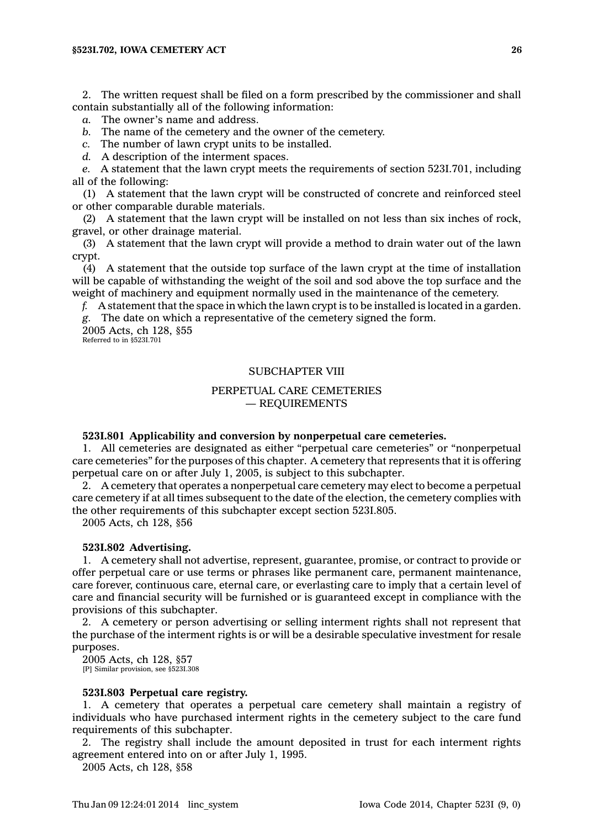2. The written request shall be filed on <sup>a</sup> form prescribed by the commissioner and shall contain substantially all of the following information:

*a.* The owner's name and address.

*b.* The name of the cemetery and the owner of the cemetery.

*c.* The number of lawn crypt units to be installed.

*d.* A description of the interment spaces.

*e.* A statement that the lawn crypt meets the requirements of section 523I.701, including all of the following:

(1) A statement that the lawn crypt will be constructed of concrete and reinforced steel or other comparable durable materials.

(2) A statement that the lawn crypt will be installed on not less than six inches of rock, gravel, or other drainage material.

(3) A statement that the lawn crypt will provide <sup>a</sup> method to drain water out of the lawn crypt.

(4) A statement that the outside top surface of the lawn crypt at the time of installation will be capable of withstanding the weight of the soil and sod above the top surface and the weight of machinery and equipment normally used in the maintenance of the cemetery.

*f.* A statement that the space in which the lawn crypt is to be installed is located in <sup>a</sup> garden. *g.* The date on which <sup>a</sup> representative of the cemetery signed the form.

2005 Acts, ch 128, §55 Referred to in §523I.701

# SUBCHAPTER VIII

# PERPETUAL CARE CEMETERIES — REQUIREMENTS

#### **523I.801 Applicability and conversion by nonperpetual care cemeteries.**

1. All cemeteries are designated as either "perpetual care cemeteries" or "nonperpetual care cemeteries" for the purposes of this chapter. A cemetery that represents that it is offering perpetual care on or after July 1, 2005, is subject to this subchapter.

2. A cemetery that operates <sup>a</sup> nonperpetual care cemetery may elect to become <sup>a</sup> perpetual care cemetery if at all times subsequent to the date of the election, the cemetery complies with the other requirements of this subchapter except section 523I.805.

2005 Acts, ch 128, §56

### **523I.802 Advertising.**

1. A cemetery shall not advertise, represent, guarantee, promise, or contract to provide or offer perpetual care or use terms or phrases like permanent care, permanent maintenance, care forever, continuous care, eternal care, or everlasting care to imply that <sup>a</sup> certain level of care and financial security will be furnished or is guaranteed except in compliance with the provisions of this subchapter.

2. A cemetery or person advertising or selling interment rights shall not represent that the purchase of the interment rights is or will be <sup>a</sup> desirable speculative investment for resale purposes.

2005 Acts, ch 128, §57 [P] Similar provision, see §523I.308

### **523I.803 Perpetual care registry.**

1. A cemetery that operates <sup>a</sup> perpetual care cemetery shall maintain <sup>a</sup> registry of individuals who have purchased interment rights in the cemetery subject to the care fund requirements of this subchapter.

2. The registry shall include the amount deposited in trust for each interment rights agreement entered into on or after July 1, 1995.

2005 Acts, ch 128, §58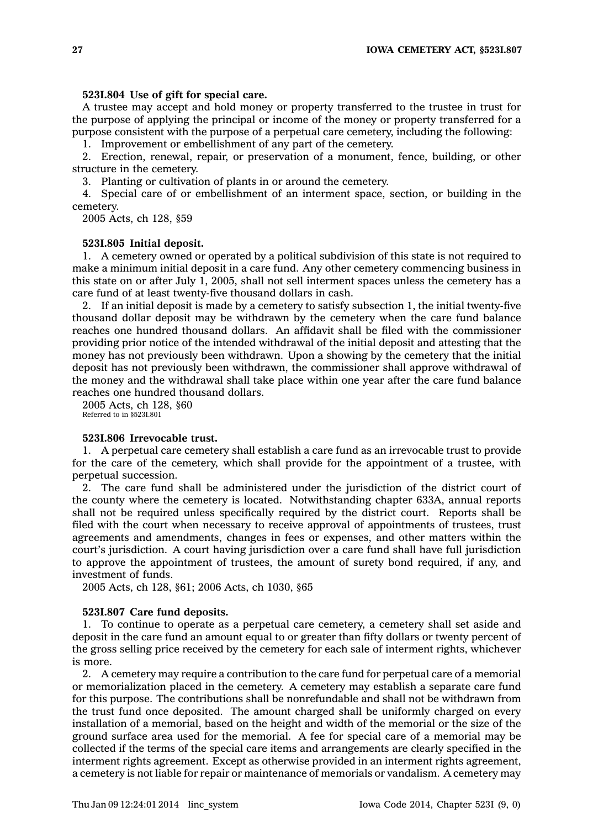### **523I.804 Use of gift for special care.**

A trustee may accept and hold money or property transferred to the trustee in trust for the purpose of applying the principal or income of the money or property transferred for <sup>a</sup> purpose consistent with the purpose of <sup>a</sup> perpetual care cemetery, including the following:

1. Improvement or embellishment of any part of the cemetery.

2. Erection, renewal, repair, or preservation of <sup>a</sup> monument, fence, building, or other structure in the cemetery.

3. Planting or cultivation of plants in or around the cemetery.

4. Special care of or embellishment of an interment space, section, or building in the cemetery.

2005 Acts, ch 128, §59

#### **523I.805 Initial deposit.**

1. A cemetery owned or operated by <sup>a</sup> political subdivision of this state is not required to make <sup>a</sup> minimum initial deposit in <sup>a</sup> care fund. Any other cemetery commencing business in this state on or after July 1, 2005, shall not sell interment spaces unless the cemetery has <sup>a</sup> care fund of at least twenty-five thousand dollars in cash.

2. If an initial deposit is made by <sup>a</sup> cemetery to satisfy subsection 1, the initial twenty-five thousand dollar deposit may be withdrawn by the cemetery when the care fund balance reaches one hundred thousand dollars. An affidavit shall be filed with the commissioner providing prior notice of the intended withdrawal of the initial deposit and attesting that the money has not previously been withdrawn. Upon <sup>a</sup> showing by the cemetery that the initial deposit has not previously been withdrawn, the commissioner shall approve withdrawal of the money and the withdrawal shall take place within one year after the care fund balance reaches one hundred thousand dollars.

2005 Acts, ch 128, §60 Referred to in §523I.801

#### **523I.806 Irrevocable trust.**

1. A perpetual care cemetery shall establish <sup>a</sup> care fund as an irrevocable trust to provide for the care of the cemetery, which shall provide for the appointment of <sup>a</sup> trustee, with perpetual succession.

2. The care fund shall be administered under the jurisdiction of the district court of the county where the cemetery is located. Notwithstanding chapter 633A, annual reports shall not be required unless specifically required by the district court. Reports shall be filed with the court when necessary to receive approval of appointments of trustees, trust agreements and amendments, changes in fees or expenses, and other matters within the court's jurisdiction. A court having jurisdiction over <sup>a</sup> care fund shall have full jurisdiction to approve the appointment of trustees, the amount of surety bond required, if any, and investment of funds.

2005 Acts, ch 128, §61; 2006 Acts, ch 1030, §65

### **523I.807 Care fund deposits.**

1. To continue to operate as <sup>a</sup> perpetual care cemetery, <sup>a</sup> cemetery shall set aside and deposit in the care fund an amount equal to or greater than fifty dollars or twenty percent of the gross selling price received by the cemetery for each sale of interment rights, whichever is more.

2. A cemetery may require <sup>a</sup> contribution to the care fund for perpetual care of <sup>a</sup> memorial or memorialization placed in the cemetery. A cemetery may establish <sup>a</sup> separate care fund for this purpose. The contributions shall be nonrefundable and shall not be withdrawn from the trust fund once deposited. The amount charged shall be uniformly charged on every installation of <sup>a</sup> memorial, based on the height and width of the memorial or the size of the ground surface area used for the memorial. A fee for special care of <sup>a</sup> memorial may be collected if the terms of the special care items and arrangements are clearly specified in the interment rights agreement. Except as otherwise provided in an interment rights agreement, <sup>a</sup> cemetery is not liable for repair or maintenance of memorials or vandalism. A cemetery may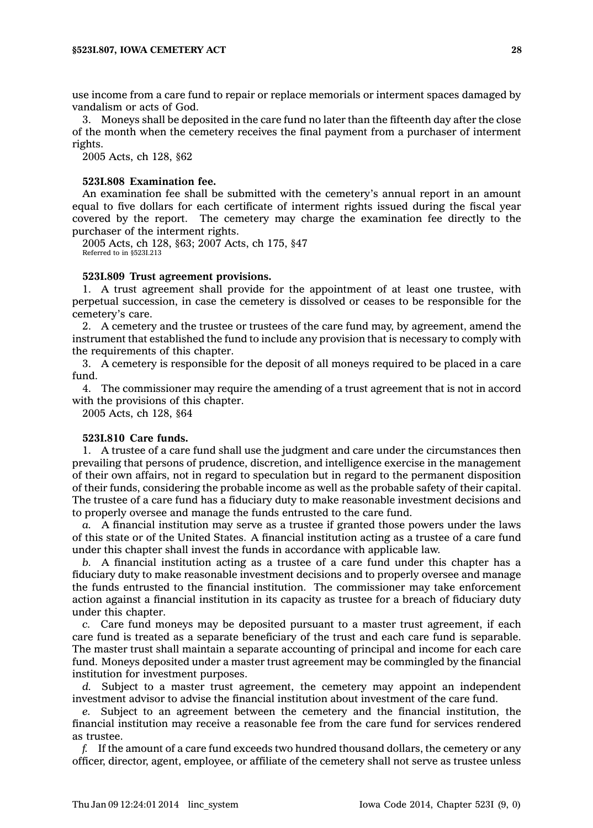use income from <sup>a</sup> care fund to repair or replace memorials or interment spaces damaged by vandalism or acts of God.

3. Moneys shall be deposited in the care fund no later than the fifteenth day after the close of the month when the cemetery receives the final payment from <sup>a</sup> purchaser of interment rights.

2005 Acts, ch 128, §62

### **523I.808 Examination fee.**

An examination fee shall be submitted with the cemetery's annual report in an amount equal to five dollars for each certificate of interment rights issued during the fiscal year covered by the report. The cemetery may charge the examination fee directly to the purchaser of the interment rights.

2005 Acts, ch 128, §63; 2007 Acts, ch 175, §47 Referred to in §523I.213

# **523I.809 Trust agreement provisions.**

1. A trust agreement shall provide for the appointment of at least one trustee, with perpetual succession, in case the cemetery is dissolved or ceases to be responsible for the cemetery's care.

2. A cemetery and the trustee or trustees of the care fund may, by agreement, amend the instrument that established the fund to include any provision that is necessary to comply with the requirements of this chapter.

3. A cemetery is responsible for the deposit of all moneys required to be placed in <sup>a</sup> care fund.

4. The commissioner may require the amending of <sup>a</sup> trust agreement that is not in accord with the provisions of this chapter.

2005 Acts, ch 128, §64

#### **523I.810 Care funds.**

1. A trustee of <sup>a</sup> care fund shall use the judgment and care under the circumstances then prevailing that persons of prudence, discretion, and intelligence exercise in the management of their own affairs, not in regard to speculation but in regard to the permanent disposition of their funds, considering the probable income as well as the probable safety of their capital. The trustee of <sup>a</sup> care fund has <sup>a</sup> fiduciary duty to make reasonable investment decisions and to properly oversee and manage the funds entrusted to the care fund.

*a.* A financial institution may serve as <sup>a</sup> trustee if granted those powers under the laws of this state or of the United States. A financial institution acting as <sup>a</sup> trustee of <sup>a</sup> care fund under this chapter shall invest the funds in accordance with applicable law.

*b.* A financial institution acting as <sup>a</sup> trustee of <sup>a</sup> care fund under this chapter has <sup>a</sup> fiduciary duty to make reasonable investment decisions and to properly oversee and manage the funds entrusted to the financial institution. The commissioner may take enforcement action against <sup>a</sup> financial institution in its capacity as trustee for <sup>a</sup> breach of fiduciary duty under this chapter.

*c.* Care fund moneys may be deposited pursuant to <sup>a</sup> master trust agreement, if each care fund is treated as <sup>a</sup> separate beneficiary of the trust and each care fund is separable. The master trust shall maintain <sup>a</sup> separate accounting of principal and income for each care fund. Moneys deposited under <sup>a</sup> master trust agreement may be commingled by the financial institution for investment purposes.

*d.* Subject to <sup>a</sup> master trust agreement, the cemetery may appoint an independent investment advisor to advise the financial institution about investment of the care fund.

*e.* Subject to an agreement between the cemetery and the financial institution, the financial institution may receive <sup>a</sup> reasonable fee from the care fund for services rendered as trustee.

*f.* If the amount of <sup>a</sup> care fund exceeds two hundred thousand dollars, the cemetery or any officer, director, agent, employee, or affiliate of the cemetery shall not serve as trustee unless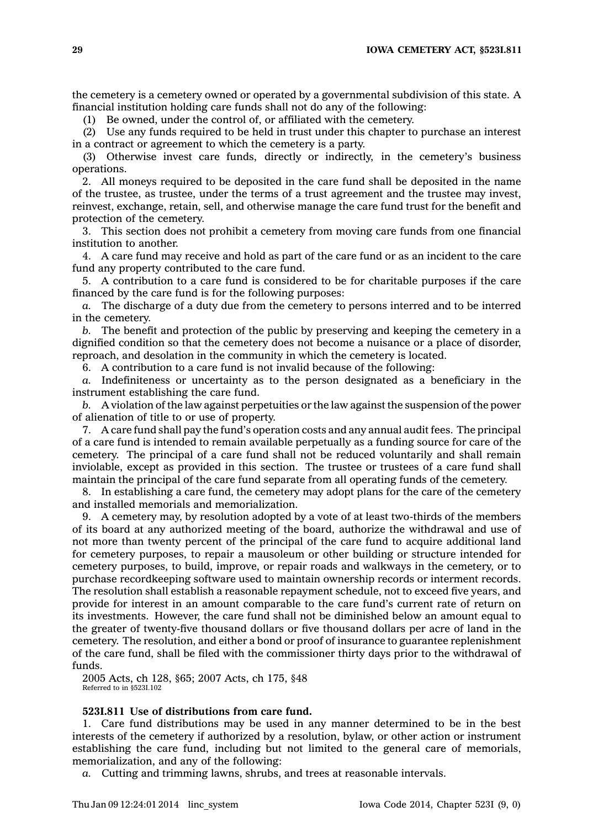the cemetery is <sup>a</sup> cemetery owned or operated by <sup>a</sup> governmental subdivision of this state. A financial institution holding care funds shall not do any of the following:

(1) Be owned, under the control of, or affiliated with the cemetery.

(2) Use any funds required to be held in trust under this chapter to purchase an interest in <sup>a</sup> contract or agreement to which the cemetery is <sup>a</sup> party.

(3) Otherwise invest care funds, directly or indirectly, in the cemetery's business operations.

2. All moneys required to be deposited in the care fund shall be deposited in the name of the trustee, as trustee, under the terms of <sup>a</sup> trust agreement and the trustee may invest, reinvest, exchange, retain, sell, and otherwise manage the care fund trust for the benefit and protection of the cemetery.

3. This section does not prohibit <sup>a</sup> cemetery from moving care funds from one financial institution to another.

4. A care fund may receive and hold as part of the care fund or as an incident to the care fund any property contributed to the care fund.

5. A contribution to <sup>a</sup> care fund is considered to be for charitable purposes if the care financed by the care fund is for the following purposes:

*a.* The discharge of <sup>a</sup> duty due from the cemetery to persons interred and to be interred in the cemetery.

*b.* The benefit and protection of the public by preserving and keeping the cemetery in <sup>a</sup> dignified condition so that the cemetery does not become <sup>a</sup> nuisance or <sup>a</sup> place of disorder, reproach, and desolation in the community in which the cemetery is located.

6. A contribution to <sup>a</sup> care fund is not invalid because of the following:

*a.* Indefiniteness or uncertainty as to the person designated as <sup>a</sup> beneficiary in the instrument establishing the care fund.

*b.* A violation of the law against perpetuities or the law against the suspension of the power of alienation of title to or use of property.

7. A care fund shall pay the fund's operation costs and any annual audit fees. The principal of <sup>a</sup> care fund is intended to remain available perpetually as <sup>a</sup> funding source for care of the cemetery. The principal of <sup>a</sup> care fund shall not be reduced voluntarily and shall remain inviolable, except as provided in this section. The trustee or trustees of <sup>a</sup> care fund shall maintain the principal of the care fund separate from all operating funds of the cemetery.

8. In establishing <sup>a</sup> care fund, the cemetery may adopt plans for the care of the cemetery and installed memorials and memorialization.

9. A cemetery may, by resolution adopted by <sup>a</sup> vote of at least two-thirds of the members of its board at any authorized meeting of the board, authorize the withdrawal and use of not more than twenty percent of the principal of the care fund to acquire additional land for cemetery purposes, to repair <sup>a</sup> mausoleum or other building or structure intended for cemetery purposes, to build, improve, or repair roads and walkways in the cemetery, or to purchase recordkeeping software used to maintain ownership records or interment records. The resolution shall establish <sup>a</sup> reasonable repayment schedule, not to exceed five years, and provide for interest in an amount comparable to the care fund's current rate of return on its investments. However, the care fund shall not be diminished below an amount equal to the greater of twenty-five thousand dollars or five thousand dollars per acre of land in the cemetery. The resolution, and either <sup>a</sup> bond or proof of insurance to guarantee replenishment of the care fund, shall be filed with the commissioner thirty days prior to the withdrawal of funds.

2005 Acts, ch 128, §65; 2007 Acts, ch 175, §48 Referred to in §523I.102

# **523I.811 Use of distributions from care fund.**

1. Care fund distributions may be used in any manner determined to be in the best interests of the cemetery if authorized by <sup>a</sup> resolution, bylaw, or other action or instrument establishing the care fund, including but not limited to the general care of memorials, memorialization, and any of the following:

*a.* Cutting and trimming lawns, shrubs, and trees at reasonable intervals.